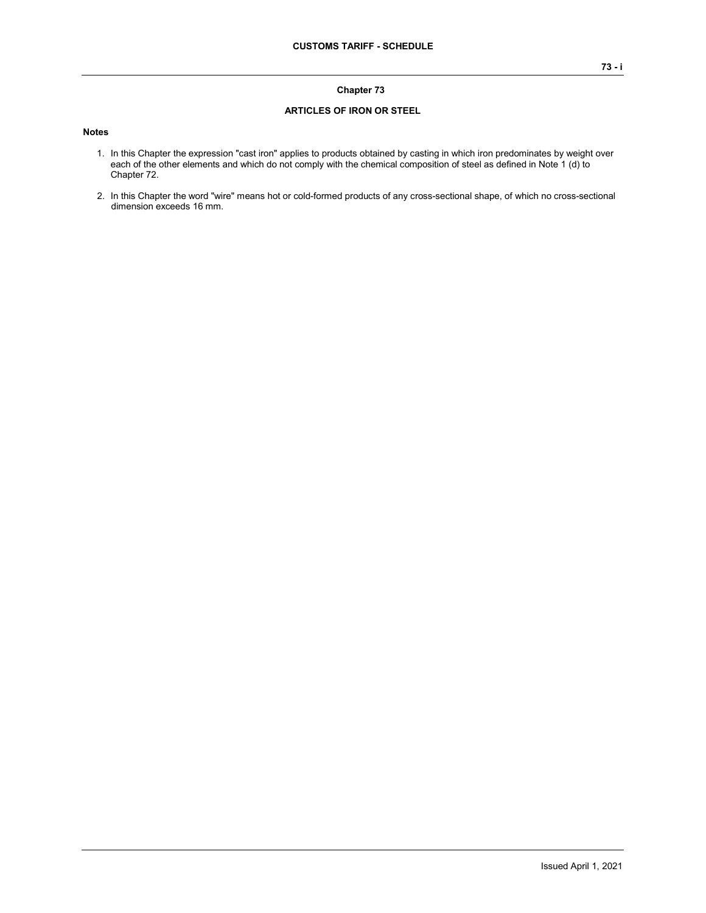#### **Chapter 73**

#### **ARTICLES OF IRON OR STEEL**

#### **Notes**

- 1. In this Chapter the expression "cast iron" applies to products obtained by casting in which iron predominates by weight over each of the other elements and which do not comply with the chemical composition of steel as defined in Note 1 (d) to Chapter 72.
- 2. In this Chapter the word "wire" means hot or cold-formed products of any cross-sectional shape, of which no cross-sectional dimension exceeds 16 mm.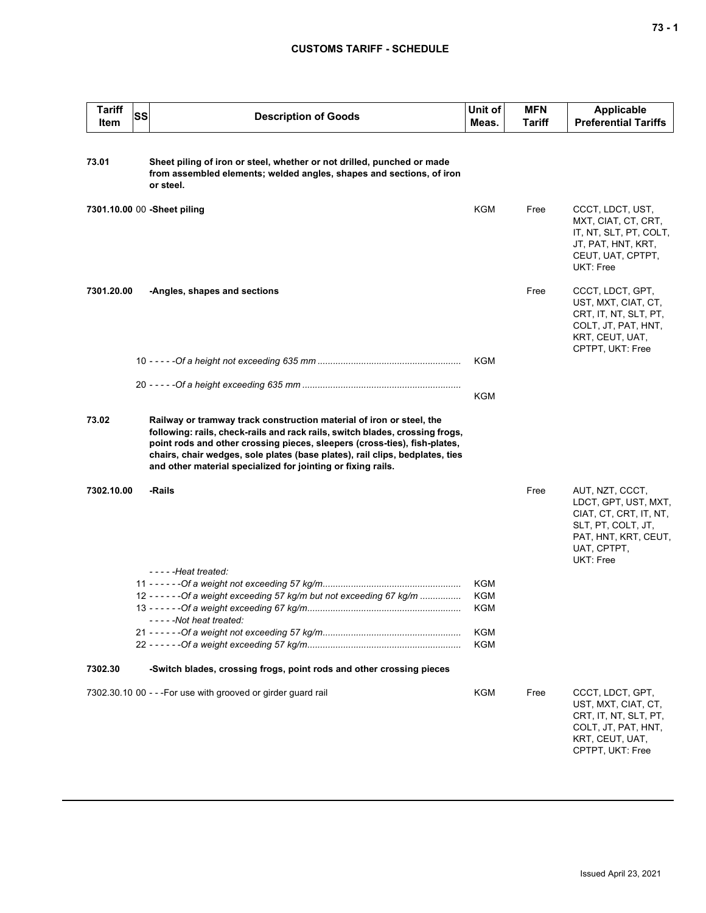| <b>Tariff</b><br><b>Item</b> | <b>SS</b> | <b>Description of Goods</b>                                                                                                                                                                                                                                                                                                                                                       | Unit of<br>Meas. | <b>MFN</b><br><b>Tariff</b> | <b>Applicable</b><br><b>Preferential Tariffs</b>                                                                                            |
|------------------------------|-----------|-----------------------------------------------------------------------------------------------------------------------------------------------------------------------------------------------------------------------------------------------------------------------------------------------------------------------------------------------------------------------------------|------------------|-----------------------------|---------------------------------------------------------------------------------------------------------------------------------------------|
| 73.01                        |           | Sheet piling of iron or steel, whether or not drilled, punched or made<br>from assembled elements; welded angles, shapes and sections, of iron<br>or steel.                                                                                                                                                                                                                       |                  |                             |                                                                                                                                             |
|                              |           | 7301.10.00 00 -Sheet piling                                                                                                                                                                                                                                                                                                                                                       | <b>KGM</b>       | Free                        | CCCT, LDCT, UST,<br>MXT, CIAT, CT, CRT,<br>IT, NT, SLT, PT, COLT,<br>JT, PAT, HNT, KRT,<br>CEUT, UAT, CPTPT,<br>UKT: Free                   |
| 7301.20.00                   |           | -Angles, shapes and sections                                                                                                                                                                                                                                                                                                                                                      |                  | Free                        | CCCT, LDCT, GPT,<br>UST, MXT, CIAT, CT,<br>CRT, IT, NT, SLT, PT,<br>COLT, JT, PAT, HNT,<br>KRT, CEUT, UAT,<br>CPTPT, UKT: Free              |
|                              |           |                                                                                                                                                                                                                                                                                                                                                                                   | KGM              |                             |                                                                                                                                             |
|                              |           |                                                                                                                                                                                                                                                                                                                                                                                   | KGM              |                             |                                                                                                                                             |
| 73.02                        |           | Railway or tramway track construction material of iron or steel, the<br>following: rails, check-rails and rack rails, switch blades, crossing frogs,<br>point rods and other crossing pieces, sleepers (cross-ties), fish-plates,<br>chairs, chair wedges, sole plates (base plates), rail clips, bedplates, ties<br>and other material specialized for jointing or fixing rails. |                  |                             |                                                                                                                                             |
| 7302.10.00                   |           | -Rails                                                                                                                                                                                                                                                                                                                                                                            |                  | Free                        | AUT, NZT, CCCT,<br>LDCT, GPT, UST, MXT,<br>CIAT, CT, CRT, IT, NT,<br>SLT, PT, COLT, JT,<br>PAT, HNT, KRT, CEUT,<br>UAT, CPTPT,<br>UKT: Free |
|                              |           | $---$ Heat treated:                                                                                                                                                                                                                                                                                                                                                               | KGM              |                             |                                                                                                                                             |
|                              |           | 12 - - - - - - Of a weight exceeding 57 kg/m but not exceeding 67 kg/m<br>-----Not heat treated:                                                                                                                                                                                                                                                                                  | KGM<br>KGM       |                             |                                                                                                                                             |
|                              |           |                                                                                                                                                                                                                                                                                                                                                                                   | KGM              |                             |                                                                                                                                             |
|                              |           |                                                                                                                                                                                                                                                                                                                                                                                   | <b>KGM</b>       |                             |                                                                                                                                             |
| 7302.30                      |           | -Switch blades, crossing frogs, point rods and other crossing pieces                                                                                                                                                                                                                                                                                                              |                  |                             |                                                                                                                                             |
|                              |           | 7302.30.10 00 - - - For use with grooved or girder guard rail                                                                                                                                                                                                                                                                                                                     | KGM              | Free                        | CCCT, LDCT, GPT,<br>UST, MXT, CIAT, CT,<br>CRT, IT, NT, SLT, PT,<br>COLT, JT, PAT, HNT,<br>KRT, CEUT, UAT,<br>CPTPT, UKT: Free              |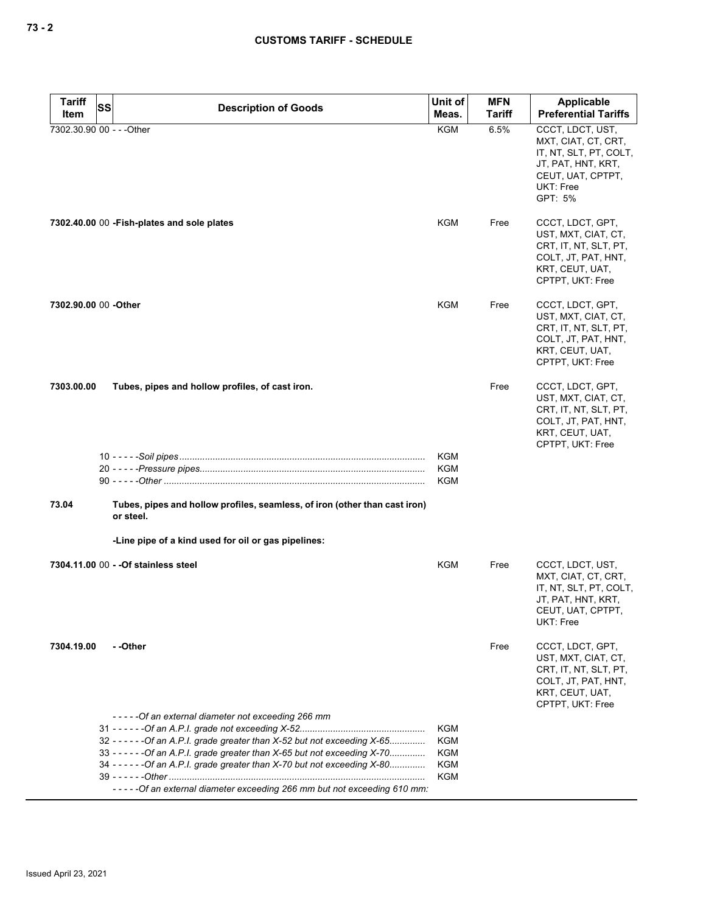| <b>Tariff</b>             | SS | <b>Description of Goods</b>                                                             | Unit of    | <b>MFN</b>    | Applicable                                                                                                                           |
|---------------------------|----|-----------------------------------------------------------------------------------------|------------|---------------|--------------------------------------------------------------------------------------------------------------------------------------|
| Item                      |    |                                                                                         | Meas.      | <b>Tariff</b> | <b>Preferential Tariffs</b>                                                                                                          |
| 7302.30.90 00 - - - Other |    |                                                                                         | <b>KGM</b> | 6.5%          | CCCT, LDCT, UST,<br>MXT, CIAT, CT, CRT,<br>IT, NT, SLT, PT, COLT,<br>JT, PAT, HNT, KRT,<br>CEUT, UAT, CPTPT,<br>UKT: Free<br>GPT: 5% |
|                           |    | 7302.40.00 00 - Fish-plates and sole plates                                             | KGM        | Free          | CCCT, LDCT, GPT,<br>UST, MXT, CIAT, CT,<br>CRT, IT, NT, SLT, PT,<br>COLT, JT, PAT, HNT,<br>KRT, CEUT, UAT,<br>CPTPT, UKT: Free       |
| 7302.90.00 00 -Other      |    |                                                                                         | KGM        | Free          | CCCT, LDCT, GPT,<br>UST, MXT, CIAT, CT,<br>CRT, IT, NT, SLT, PT,<br>COLT, JT, PAT, HNT,<br>KRT, CEUT, UAT,<br>CPTPT, UKT: Free       |
| 7303.00.00                |    | Tubes, pipes and hollow profiles, of cast iron.                                         |            | Free          | CCCT, LDCT, GPT,<br>UST, MXT, CIAT, CT,<br>CRT, IT, NT, SLT, PT,<br>COLT, JT, PAT, HNT,<br>KRT, CEUT, UAT,<br>CPTPT, UKT: Free       |
|                           |    |                                                                                         | KGM        |               |                                                                                                                                      |
|                           |    |                                                                                         | KGM<br>KGM |               |                                                                                                                                      |
| 73.04                     |    | Tubes, pipes and hollow profiles, seamless, of iron (other than cast iron)<br>or steel. |            |               |                                                                                                                                      |
|                           |    | -Line pipe of a kind used for oil or gas pipelines:                                     |            |               |                                                                                                                                      |
|                           |    | 7304.11.00 00 - - Of stainless steel                                                    | <b>KGM</b> | Free          | CCCT, LDCT, UST,<br>MXT, CIAT, CT, CRT,<br>IT, NT, SLT, PT, COLT,<br>JT, PAT, HNT, KRT,<br>CEUT, UAT, CPTPT,<br>UKT: Free            |
| 7304.19.00                |    | - -Other                                                                                |            | Free          | CCCT, LDCT, GPT,<br>UST, MXT, CIAT, CT,<br>CRT, IT, NT, SLT, PT,<br>COLT, JT, PAT, HNT,<br>KRT, CEUT, UAT,<br>CPTPT, UKT: Free       |
|                           |    | -----Of an external diameter not exceeding 266 mm                                       | KGM        |               |                                                                                                                                      |
|                           |    | 32 - - - - - - Of an A.P.I. grade greater than X-52 but not exceeding X-65              | KGM        |               |                                                                                                                                      |
|                           |    | 33 - - - - - - Of an A.P.I. grade greater than X-65 but not exceeding X-70              | KGM        |               |                                                                                                                                      |
|                           |    | 34 - - - - - - Of an A.P.I. grade greater than X-70 but not exceeding X-80              | KGM<br>KGM |               |                                                                                                                                      |
|                           |    | ----- Of an external diameter exceeding 266 mm but not exceeding 610 mm:                |            |               |                                                                                                                                      |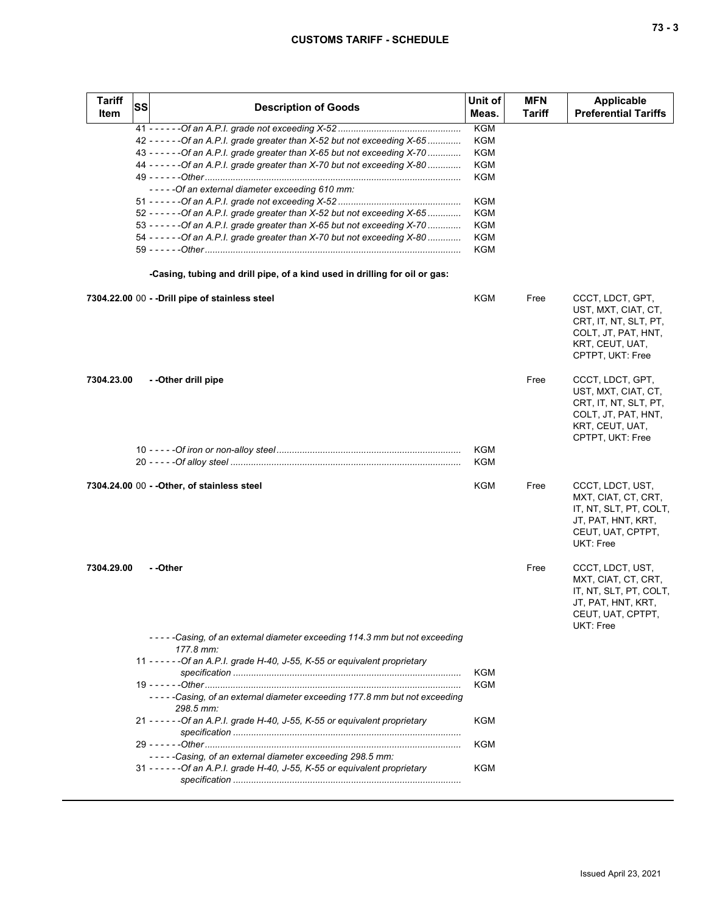| <b>Tariff</b><br><b>Item</b> | <b>SS</b> | <b>Description of Goods</b>                                                            | Unit of<br>Meas.  | <b>MFN</b><br><b>Tariff</b> | <b>Applicable</b><br><b>Preferential Tariffs</b>                                                                               |
|------------------------------|-----------|----------------------------------------------------------------------------------------|-------------------|-----------------------------|--------------------------------------------------------------------------------------------------------------------------------|
|                              |           |                                                                                        | <b>KGM</b>        |                             |                                                                                                                                |
|                              |           | 42 - - - - - - Of an A.P.I. grade greater than X-52 but not exceeding X-65             | KGM               |                             |                                                                                                                                |
|                              |           | 43 - - - - - - Of an A.P.I. grade greater than X-65 but not exceeding X-70             | KGM               |                             |                                                                                                                                |
|                              |           | 44 - - - - - - Of an A.P.I. grade greater than X-70 but not exceeding X-80             | KGM               |                             |                                                                                                                                |
|                              |           | -----Of an external diameter exceeding 610 mm:                                         | KGM               |                             |                                                                                                                                |
|                              |           |                                                                                        | KGM               |                             |                                                                                                                                |
|                              |           | 52 - - - - - - Of an A.P.I. grade greater than X-52 but not exceeding X-65             | KGM               |                             |                                                                                                                                |
|                              |           | 53 - - - - - - Of an A.P.I. grade greater than X-65 but not exceeding X-70             | KGM               |                             |                                                                                                                                |
|                              |           | 54 - - - - - - Of an A.P.I. grade greater than X-70 but not exceeding X-80             | <b>KGM</b>        |                             |                                                                                                                                |
|                              |           |                                                                                        | KGM               |                             |                                                                                                                                |
|                              |           | -Casing, tubing and drill pipe, of a kind used in drilling for oil or gas:             |                   |                             |                                                                                                                                |
|                              |           | 7304.22.00 00 - - Drill pipe of stainless steel                                        | KGM               | Free                        | CCCT, LDCT, GPT,<br>UST, MXT, CIAT, CT,<br>CRT, IT, NT, SLT, PT,<br>COLT, JT, PAT, HNT,<br>KRT, CEUT, UAT,<br>CPTPT, UKT: Free |
| 7304.23.00                   |           | --Other drill pipe                                                                     |                   | Free                        | CCCT, LDCT, GPT,<br>UST, MXT, CIAT, CT,<br>CRT, IT, NT, SLT, PT,<br>COLT, JT, PAT, HNT,<br>KRT, CEUT, UAT,<br>CPTPT, UKT: Free |
|                              |           |                                                                                        | <b>KGM</b><br>KGM |                             |                                                                                                                                |
|                              |           |                                                                                        |                   |                             |                                                                                                                                |
|                              |           | 7304.24.00 00 - - Other, of stainless steel                                            | KGM               | Free                        | CCCT, LDCT, UST,<br>MXT, CIAT, CT, CRT,<br>IT, NT, SLT, PT, COLT,<br>JT, PAT, HNT, KRT,<br>CEUT, UAT, CPTPT,<br>UKT: Free      |
| 7304.29.00                   |           | - -Other                                                                               |                   | Free                        | CCCT, LDCT, UST,<br>MXT, CIAT, CT, CRT,<br>IT, NT, SLT, PT, COLT,<br>JT, PAT, HNT, KRT,<br>CEUT, UAT, CPTPT,<br>UKT: Free      |
|                              |           | -----Casing, of an external diameter exceeding 114.3 mm but not exceeding<br>177.8 mm: |                   |                             |                                                                                                                                |
|                              |           | 11 - - - - - - Of an A.P.I. grade H-40, J-55, K-55 or equivalent proprietary           | KGM               |                             |                                                                                                                                |
|                              |           |                                                                                        | KGM               |                             |                                                                                                                                |
|                              |           | -----Casing, of an external diameter exceeding 177.8 mm but not exceeding<br>298.5 mm: |                   |                             |                                                                                                                                |
|                              |           | 21 - - - - - - Of an A.P.I. grade H-40, J-55, K-55 or equivalent proprietary           | KGM               |                             |                                                                                                                                |
|                              |           |                                                                                        | KGM               |                             |                                                                                                                                |
|                              |           | -----Casing, of an external diameter exceeding 298.5 mm:                               |                   |                             |                                                                                                                                |
|                              |           | 31 - - - - - - Of an A.P.I. grade H-40, J-55, K-55 or equivalent proprietary           | KGM               |                             |                                                                                                                                |
|                              |           |                                                                                        |                   |                             |                                                                                                                                |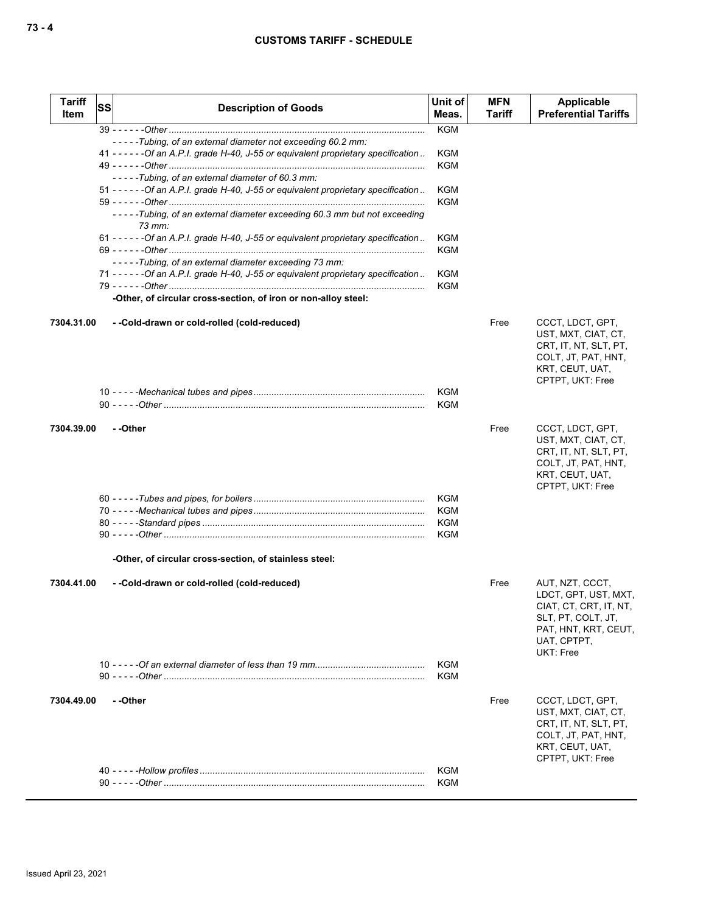| <b>Tariff</b><br>Item | <b>SS</b> | <b>Description of Goods</b>                                                          | Unit of<br>Meas. | <b>MFN</b><br><b>Tariff</b> | Applicable<br><b>Preferential Tariffs</b>                                                                                                   |
|-----------------------|-----------|--------------------------------------------------------------------------------------|------------------|-----------------------------|---------------------------------------------------------------------------------------------------------------------------------------------|
|                       |           |                                                                                      | <b>KGM</b>       |                             |                                                                                                                                             |
|                       |           | -----Tubing, of an external diameter not exceeding 60.2 mm:                          |                  |                             |                                                                                                                                             |
|                       |           | 41 - - - - - - Of an A.P.I. grade H-40, J-55 or equivalent proprietary specification | KGM              |                             |                                                                                                                                             |
|                       |           | -----Tubing, of an external diameter of 60.3 mm:                                     | <b>KGM</b>       |                             |                                                                                                                                             |
|                       |           | 51 - - - - - - Of an A.P.I. grade H-40, J-55 or equivalent proprietary specification | <b>KGM</b>       |                             |                                                                                                                                             |
|                       |           |                                                                                      | <b>KGM</b>       |                             |                                                                                                                                             |
|                       |           | -----Tubing, of an external diameter exceeding 60.3 mm but not exceeding<br>73 mm:   |                  |                             |                                                                                                                                             |
|                       |           | 61 - - - - - - Of an A.P.I. grade H-40, J-55 or equivalent proprietary specification | KGM              |                             |                                                                                                                                             |
|                       |           |                                                                                      | <b>KGM</b>       |                             |                                                                                                                                             |
|                       |           | -----Tubing, of an external diameter exceeding 73 mm:                                |                  |                             |                                                                                                                                             |
|                       |           | 71 - - - - - - Of an A.P.I. grade H-40, J-55 or equivalent proprietary specification | <b>KGM</b>       |                             |                                                                                                                                             |
|                       |           | -Other, of circular cross-section, of iron or non-alloy steel:                       | <b>KGM</b>       |                             |                                                                                                                                             |
|                       |           |                                                                                      |                  |                             |                                                                                                                                             |
| 7304.31.00            |           | --Cold-drawn or cold-rolled (cold-reduced)                                           |                  | Free                        | CCCT, LDCT, GPT,<br>UST, MXT, CIAT, CT,<br>CRT, IT, NT, SLT, PT,<br>COLT, JT, PAT, HNT,<br>KRT, CEUT, UAT,                                  |
|                       |           |                                                                                      |                  |                             | CPTPT, UKT: Free                                                                                                                            |
|                       |           |                                                                                      | KGM              |                             |                                                                                                                                             |
|                       |           |                                                                                      | <b>KGM</b>       |                             |                                                                                                                                             |
| 7304.39.00            |           | - -Other                                                                             |                  | Free                        | CCCT, LDCT, GPT,<br>UST, MXT, CIAT, CT,                                                                                                     |
|                       |           |                                                                                      |                  |                             | CRT, IT, NT, SLT, PT,<br>COLT, JT, PAT, HNT,<br>KRT, CEUT, UAT,<br>CPTPT, UKT: Free                                                         |
|                       |           |                                                                                      | KGM              |                             |                                                                                                                                             |
|                       |           |                                                                                      | KGM              |                             |                                                                                                                                             |
|                       |           |                                                                                      | KGM              |                             |                                                                                                                                             |
|                       |           |                                                                                      | KGM              |                             |                                                                                                                                             |
|                       |           | -Other, of circular cross-section, of stainless steel:                               |                  |                             |                                                                                                                                             |
| 7304.41.00            |           | --Cold-drawn or cold-rolled (cold-reduced)                                           |                  | Free                        | AUT, NZT, CCCT,<br>LDCT, GPT, UST, MXT,<br>CIAT, CT, CRT, IT, NT,<br>SLT, PT, COLT, JT,<br>PAT, HNT, KRT, CEUT,<br>UAT. CPTPT.<br>UKT: Free |
|                       |           |                                                                                      | KGM              |                             |                                                                                                                                             |
|                       |           |                                                                                      | <b>KGM</b>       |                             |                                                                                                                                             |
| 7304.49.00            |           | - -Other                                                                             |                  | Free                        | CCCT, LDCT, GPT,<br>UST, MXT, CIAT, CT,<br>CRT, IT, NT, SLT, PT,<br>COLT, JT, PAT, HNT,<br>KRT, CEUT, UAT,<br>CPTPT, UKT: Free              |
|                       |           |                                                                                      | KGM              |                             |                                                                                                                                             |
|                       |           |                                                                                      | KGM              |                             |                                                                                                                                             |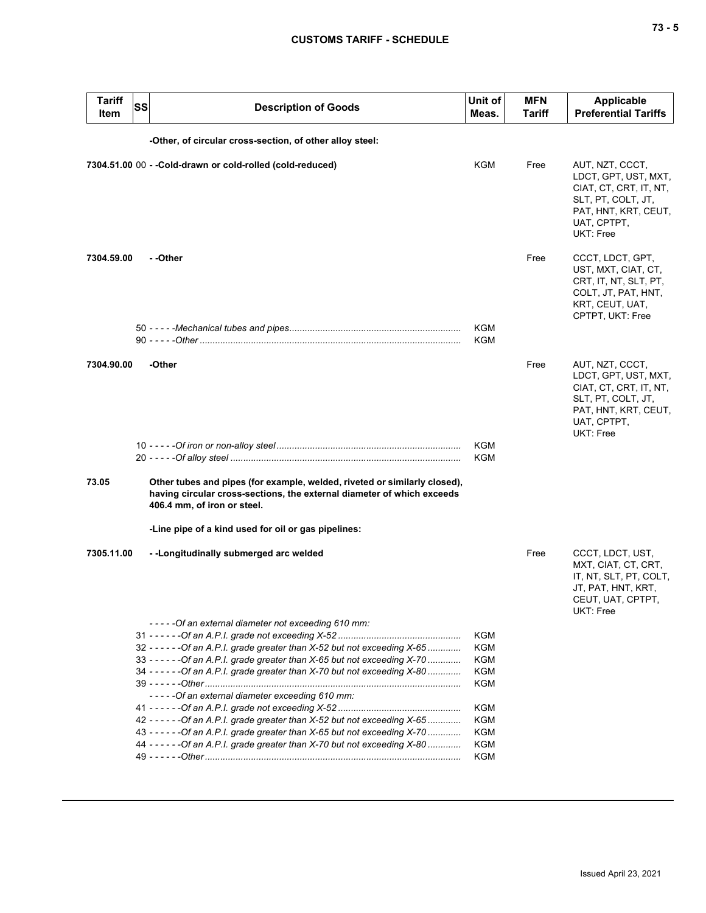| Tariff<br><b>Item</b> | SS | <b>Description of Goods</b>                                                                                                                                                        | Unit of<br>Meas.         | <b>MFN</b><br>Tariff | <b>Applicable</b><br><b>Preferential Tariffs</b>                                                                                            |
|-----------------------|----|------------------------------------------------------------------------------------------------------------------------------------------------------------------------------------|--------------------------|----------------------|---------------------------------------------------------------------------------------------------------------------------------------------|
|                       |    | -Other, of circular cross-section, of other alloy steel:                                                                                                                           |                          |                      |                                                                                                                                             |
|                       |    | 7304.51.00 00 - - Cold-drawn or cold-rolled (cold-reduced)                                                                                                                         | KGM                      | Free                 | AUT, NZT, CCCT,<br>LDCT, GPT, UST, MXT,<br>CIAT, CT, CRT, IT, NT,<br>SLT, PT, COLT, JT,<br>PAT, HNT, KRT, CEUT,<br>UAT, CPTPT,<br>UKT: Free |
| 7304.59.00            |    | - -Other                                                                                                                                                                           |                          | Free                 | CCCT, LDCT, GPT,<br>UST, MXT, CIAT, CT,<br>CRT, IT, NT, SLT, PT,<br>COLT, JT, PAT, HNT,<br>KRT, CEUT, UAT,<br>CPTPT, UKT: Free              |
|                       |    |                                                                                                                                                                                    | KGM<br><b>KGM</b>        |                      |                                                                                                                                             |
| 7304.90.00            |    | -Other                                                                                                                                                                             |                          | Free                 | AUT, NZT, CCCT,<br>LDCT, GPT, UST, MXT,<br>CIAT, CT, CRT, IT, NT,<br>SLT, PT, COLT, JT,<br>PAT, HNT, KRT, CEUT,<br>UAT, CPTPT,<br>UKT: Free |
|                       |    |                                                                                                                                                                                    | <b>KGM</b><br><b>KGM</b> |                      |                                                                                                                                             |
| 73.05                 |    | Other tubes and pipes (for example, welded, riveted or similarly closed),<br>having circular cross-sections, the external diameter of which exceeds<br>406.4 mm, of iron or steel. |                          |                      |                                                                                                                                             |
|                       |    | -Line pipe of a kind used for oil or gas pipelines:                                                                                                                                |                          |                      |                                                                                                                                             |
| 7305.11.00            |    | --Longitudinally submerged arc welded                                                                                                                                              |                          | Free                 | CCCT, LDCT, UST,<br>MXT, CIAT, CT, CRT,<br>IT, NT, SLT, PT, COLT,<br>JT, PAT, HNT, KRT,<br>CEUT, UAT, CPTPT,<br>UKT: Free                   |
|                       |    | - - - - - Of an external diameter not exceeding 610 mm:                                                                                                                            |                          |                      |                                                                                                                                             |
|                       |    |                                                                                                                                                                                    | KGM                      |                      |                                                                                                                                             |
|                       |    | 32 - - - - - - Of an A.P.I. grade greater than X-52 but not exceeding X-65                                                                                                         | KGM                      |                      |                                                                                                                                             |
|                       |    | 33 - - - - - - Of an A.P.I. grade greater than X-65 but not exceeding X-70                                                                                                         | KGM                      |                      |                                                                                                                                             |
|                       |    | 34 - - - - - - Of an A.P.I. grade greater than X-70 but not exceeding X-80                                                                                                         | KGM<br>KGM               |                      |                                                                                                                                             |
|                       |    | -----Of an external diameter exceeding 610 mm:                                                                                                                                     |                          |                      |                                                                                                                                             |
|                       |    |                                                                                                                                                                                    | <b>KGM</b>               |                      |                                                                                                                                             |
|                       |    | 42 - - - - - - Of an A.P.I. grade greater than X-52 but not exceeding X-65                                                                                                         | KGM                      |                      |                                                                                                                                             |
|                       |    | 43 - - - - - - Of an A.P.I. grade greater than X-65 but not exceeding X-70                                                                                                         | KGM                      |                      |                                                                                                                                             |
|                       |    | 44 - - - - - - Of an A.P.I. grade greater than X-70 but not exceeding X-80                                                                                                         | KGM                      |                      |                                                                                                                                             |
|                       |    |                                                                                                                                                                                    | KGM                      |                      |                                                                                                                                             |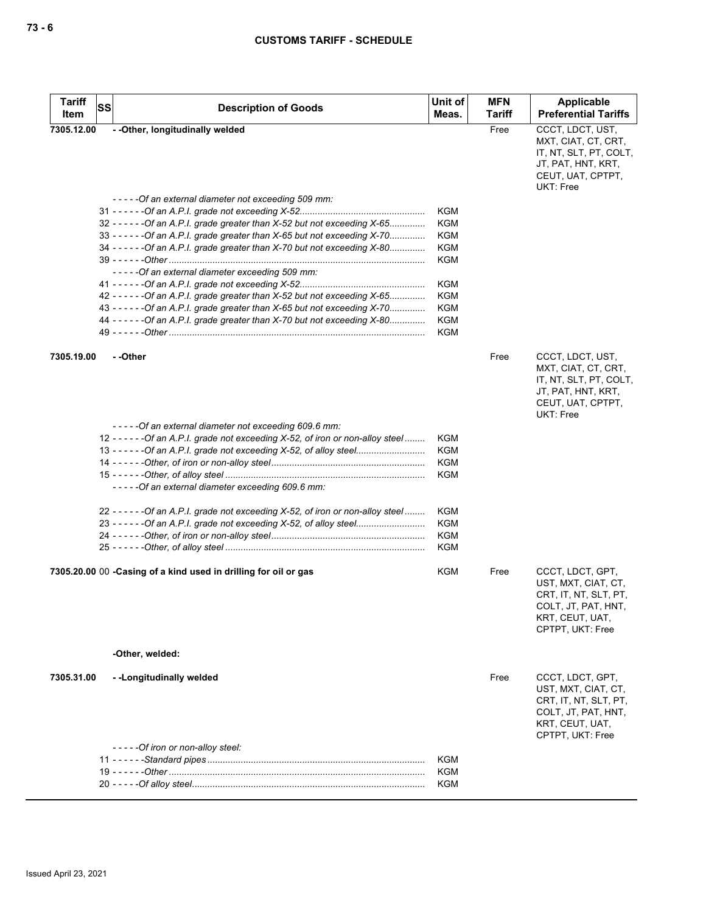| <b>Tariff</b><br><b>SS</b><br>Item | <b>Description of Goods</b>                                                        | Unit of<br>Meas. | <b>MFN</b><br>Tariff | <b>Applicable</b><br><b>Preferential Tariffs</b>                                                                               |
|------------------------------------|------------------------------------------------------------------------------------|------------------|----------------------|--------------------------------------------------------------------------------------------------------------------------------|
| 7305.12.00                         | - - Other, longitudinally welded                                                   |                  | Free                 | CCCT, LDCT, UST,                                                                                                               |
|                                    |                                                                                    |                  |                      | MXT, CIAT, CT, CRT,<br>IT, NT, SLT, PT, COLT,<br>JT, PAT, HNT, KRT,<br>CEUT, UAT, CPTPT,<br><b>UKT: Free</b>                   |
|                                    | -----Of an external diameter not exceeding 509 mm:                                 |                  |                      |                                                                                                                                |
|                                    |                                                                                    | <b>KGM</b>       |                      |                                                                                                                                |
|                                    | 32 - - - - - - Of an A.P.I. grade greater than X-52 but not exceeding X-65         | <b>KGM</b>       |                      |                                                                                                                                |
|                                    | 33 - - - - - - Of an A.P.I. grade greater than X-65 but not exceeding X-70         | <b>KGM</b>       |                      |                                                                                                                                |
|                                    | 34 ----- - - Of an A.P.I. grade greater than X-70 but not exceeding X-80           | KGM              |                      |                                                                                                                                |
|                                    |                                                                                    | KGM              |                      |                                                                                                                                |
|                                    | -----Of an external diameter exceeding 509 mm:                                     |                  |                      |                                                                                                                                |
|                                    |                                                                                    | KGM              |                      |                                                                                                                                |
|                                    | 42 - - - - - - Of an A.P.I. grade greater than X-52 but not exceeding X-65         | KGM              |                      |                                                                                                                                |
|                                    | 43 - - - - - - Of an A.P.I. grade greater than X-65 but not exceeding X-70         | KGM              |                      |                                                                                                                                |
|                                    | 44 - - - - - - Of an A.P.I. grade greater than X-70 but not exceeding X-80         | <b>KGM</b>       |                      |                                                                                                                                |
|                                    |                                                                                    | <b>KGM</b>       |                      |                                                                                                                                |
| 7305.19.00                         | - -Other                                                                           |                  | Free                 | CCCT, LDCT, UST,<br>MXT, CIAT, CT, CRT,<br>IT, NT, SLT, PT, COLT,<br>JT, PAT, HNT, KRT,<br>CEUT, UAT, CPTPT,<br>UKT: Free      |
|                                    | -----Of an external diameter not exceeding 609.6 mm:                               |                  |                      |                                                                                                                                |
|                                    | 12 - - - - - - - Of an A.P.I. grade not exceeding X-52, of iron or non-alloy steel | KGM              |                      |                                                                                                                                |
|                                    | 13 - - - - - - - Of an A.P.I. grade not exceeding X-52, of alloy steel             | KGM              |                      |                                                                                                                                |
|                                    |                                                                                    | KGM              |                      |                                                                                                                                |
|                                    |                                                                                    | KGM              |                      |                                                                                                                                |
|                                    | ----- Of an external diameter exceeding 609.6 mm:                                  |                  |                      |                                                                                                                                |
|                                    | 22 - - - - - - - Of an A.P.I. grade not exceeding X-52, of iron or non-alloy steel | KGM              |                      |                                                                                                                                |
|                                    | 23 - - - - - - Of an A.P.I. grade not exceeding X-52, of alloy steel               | KGM              |                      |                                                                                                                                |
|                                    |                                                                                    | KGM              |                      |                                                                                                                                |
|                                    |                                                                                    | KGM              |                      |                                                                                                                                |
|                                    | 7305.20.00 00 - Casing of a kind used in drilling for oil or gas                   | <b>KGM</b>       | Free                 | CCCT, LDCT, GPT,<br>UST, MXT, CIAT, CT,<br>CRT, IT, NT, SLT, PT,<br>COLT, JT, PAT, HNT,<br>KRT, CEUT, UAT,<br>CPTPT, UKT: Free |
|                                    | -Other, welded:                                                                    |                  |                      |                                                                                                                                |
| 7305.31.00                         | --Longitudinally welded                                                            |                  | Free                 | CCCT, LDCT, GPT,<br>UST, MXT, CIAT, CT,<br>CRT, IT, NT, SLT, PT,<br>COLT, JT, PAT, HNT,<br>KRT, CEUT, UAT,<br>CPTPT, UKT: Free |
|                                    | - - - - - Of iron or non-alloy steel:                                              |                  |                      |                                                                                                                                |
|                                    |                                                                                    | <b>KGM</b>       |                      |                                                                                                                                |
|                                    |                                                                                    | <b>KGM</b>       |                      |                                                                                                                                |
|                                    |                                                                                    | <b>KGM</b>       |                      |                                                                                                                                |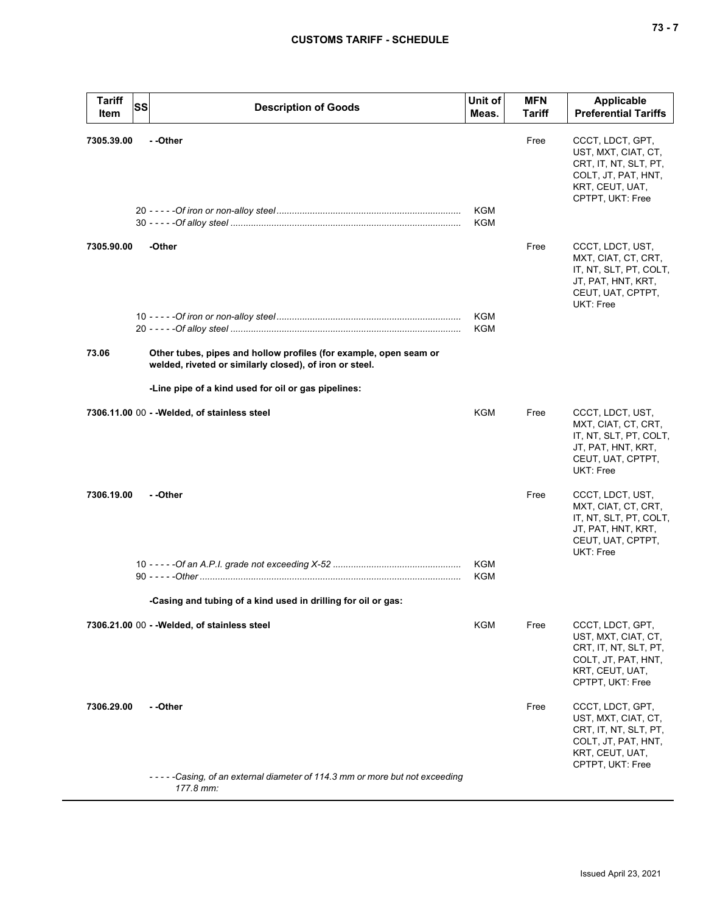| <b>Tariff</b><br>Item | <b>SS</b> | <b>Description of Goods</b>                                                                                                  | Unit of<br>Meas.  | <b>MFN</b><br><b>Tariff</b> | <b>Applicable</b><br><b>Preferential Tariffs</b>                                                                                 |
|-----------------------|-----------|------------------------------------------------------------------------------------------------------------------------------|-------------------|-----------------------------|----------------------------------------------------------------------------------------------------------------------------------|
| 7305.39.00            |           | - -Other                                                                                                                     | <b>KGM</b><br>KGM | Free                        | CCCT, LDCT, GPT,<br>UST, MXT, CIAT, CT,<br>CRT, IT, NT, SLT, PT,<br>COLT, JT, PAT, HNT,<br>KRT, CEUT, UAT,<br>CPTPT, UKT: Free   |
| 7305.90.00            |           | -Other                                                                                                                       |                   | Free                        | CCCT, LDCT, UST,<br>MXT, CIAT, CT, CRT,<br>IT, NT, SLT, PT, COLT,<br>JT, PAT, HNT, KRT,<br>CEUT, UAT, CPTPT,<br>UKT: Free        |
|                       |           |                                                                                                                              | KGM<br>KGM        |                             |                                                                                                                                  |
| 73.06                 |           | Other tubes, pipes and hollow profiles (for example, open seam or<br>welded, riveted or similarly closed), of iron or steel. |                   |                             |                                                                                                                                  |
|                       |           | -Line pipe of a kind used for oil or gas pipelines:                                                                          |                   |                             |                                                                                                                                  |
|                       |           | 7306.11.00 00 - - Welded, of stainless steel                                                                                 | KGM               | Free                        | CCCT, LDCT, UST,<br>MXT, CIAT, CT, CRT,<br>IT, NT, SLT, PT, COLT,<br>JT, PAT, HNT, KRT,<br>CEUT, UAT, CPTPT,<br><b>UKT: Free</b> |
| 7306.19.00            |           | - -Other                                                                                                                     |                   | Free                        | CCCT, LDCT, UST,<br>MXT, CIAT, CT, CRT,<br>IT, NT, SLT, PT, COLT,<br>JT, PAT, HNT, KRT,<br>CEUT, UAT, CPTPT,<br>UKT: Free        |
|                       |           |                                                                                                                              | KGM<br><b>KGM</b> |                             |                                                                                                                                  |
|                       |           | -Casing and tubing of a kind used in drilling for oil or gas:                                                                |                   |                             |                                                                                                                                  |
|                       |           | 7306.21.00 00 - - Welded, of stainless steel                                                                                 | <b>KGM</b>        | Free                        | CCCT, LDCT, GPT,<br>UST, MXT, CIAT, CT,<br>CRT, IT, NT, SLT, PT,<br>COLT, JT, PAT, HNT,<br>KRT, CEUT, UAT,<br>CPTPT, UKT: Free   |
| 7306.29.00            |           | - -Other                                                                                                                     |                   | Free                        | CCCT, LDCT, GPT,<br>UST, MXT, CIAT, CT,<br>CRT, IT, NT, SLT, PT,<br>COLT, JT, PAT, HNT,<br>KRT, CEUT, UAT,<br>CPTPT, UKT: Free   |
|                       |           | -----Casing, of an external diameter of 114.3 mm or more but not exceeding<br>177.8 mm:                                      |                   |                             |                                                                                                                                  |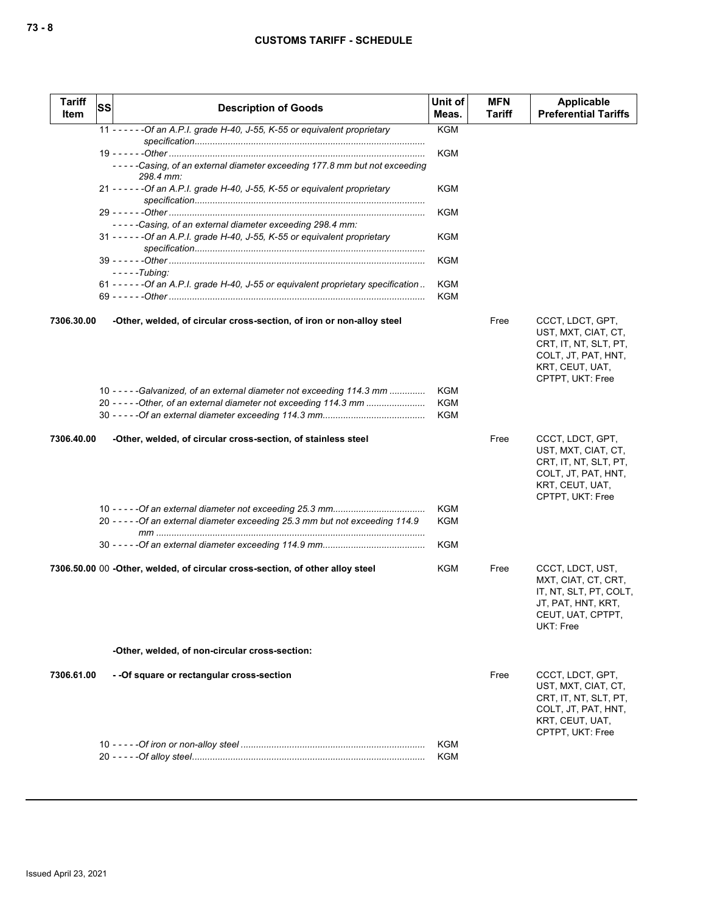| <b>Tariff</b><br>Item | SS | <b>Description of Goods</b>                                                            | Unit of<br>Meas.  | <b>MFN</b><br>Tariff | <b>Applicable</b><br><b>Preferential Tariffs</b>                                                                               |
|-----------------------|----|----------------------------------------------------------------------------------------|-------------------|----------------------|--------------------------------------------------------------------------------------------------------------------------------|
|                       |    | 11 - - - - - - Of an A.P.I. grade H-40, J-55, K-55 or equivalent proprietary           | <b>KGM</b>        |                      |                                                                                                                                |
|                       |    |                                                                                        |                   |                      |                                                                                                                                |
|                       |    |                                                                                        | <b>KGM</b>        |                      |                                                                                                                                |
|                       |    | -----Casing, of an external diameter exceeding 177.8 mm but not exceeding<br>298.4 mm: |                   |                      |                                                                                                                                |
|                       |    | 21 - - - - - - Of an A.P.I. grade H-40, J-55, K-55 or equivalent proprietary           | KGM               |                      |                                                                                                                                |
|                       |    |                                                                                        | KGM               |                      |                                                                                                                                |
|                       |    | -----Casing, of an external diameter exceeding 298.4 mm:                               |                   |                      |                                                                                                                                |
|                       |    | 31 - - - - - - Of an A.P.I. grade H-40, J-55, K-55 or equivalent proprietary           | KGM               |                      |                                                                                                                                |
|                       |    |                                                                                        | KGM               |                      |                                                                                                                                |
|                       |    | $-- -$ Tubing:                                                                         |                   |                      |                                                                                                                                |
|                       |    | 61 - - - - - - Of an A.P.I. grade H-40, J-55 or equivalent proprietary specification   | KGM               |                      |                                                                                                                                |
|                       |    |                                                                                        | <b>KGM</b>        |                      |                                                                                                                                |
|                       |    |                                                                                        |                   |                      |                                                                                                                                |
| 7306.30.00            |    | -Other, welded, of circular cross-section, of iron or non-alloy steel                  |                   | Free                 | CCCT, LDCT, GPT,<br>UST, MXT, CIAT, CT,<br>CRT, IT, NT, SLT, PT,<br>COLT, JT, PAT, HNT,<br>KRT, CEUT, UAT,<br>CPTPT, UKT: Free |
|                       |    | 10 - - - - - Galvanized, of an external diameter not exceeding 114.3 mm                | <b>KGM</b>        |                      |                                                                                                                                |
|                       |    | 20 - - - - - Other, of an external diameter not exceeding 114.3 mm                     | <b>KGM</b>        |                      |                                                                                                                                |
|                       |    |                                                                                        | <b>KGM</b>        |                      |                                                                                                                                |
| 7306.40.00            |    | -Other, welded, of circular cross-section, of stainless steel                          |                   | Free                 | CCCT, LDCT, GPT,<br>UST, MXT, CIAT, CT,<br>CRT, IT, NT, SLT, PT,<br>COLT, JT, PAT, HNT,<br>KRT, CEUT, UAT,<br>CPTPT, UKT: Free |
|                       |    | 20 - - - - - Of an external diameter exceeding 25.3 mm but not exceeding 114.9         | <b>KGM</b><br>KGM |                      |                                                                                                                                |
|                       |    |                                                                                        |                   |                      |                                                                                                                                |
|                       |    |                                                                                        | KGM               |                      |                                                                                                                                |
|                       |    | 7306.50.00 00 -Other, welded, of circular cross-section, of other alloy steel          | KGM               | Free                 | CCCT, LDCT, UST,<br>MXT, CIAT, CT, CRT,<br>IT, NT, SLT, PT, COLT,<br>JT, PAT, HNT, KRT,<br>CEUT, UAT, CPTPT,<br>UKT: Free      |
|                       |    | -Other, welded, of non-circular cross-section:                                         |                   |                      |                                                                                                                                |
| 7306.61.00            |    | - - Of square or rectangular cross-section                                             |                   | Free                 | CCCT, LDCT, GPT,<br>UST, MXT, CIAT, CT,<br>CRT, IT, NT, SLT, PT,<br>COLT, JT, PAT, HNT,<br>KRT, CEUT, UAT,<br>CPTPT, UKT: Free |
|                       |    |                                                                                        | KGM               |                      |                                                                                                                                |
|                       |    |                                                                                        | KGM               |                      |                                                                                                                                |
|                       |    |                                                                                        |                   |                      |                                                                                                                                |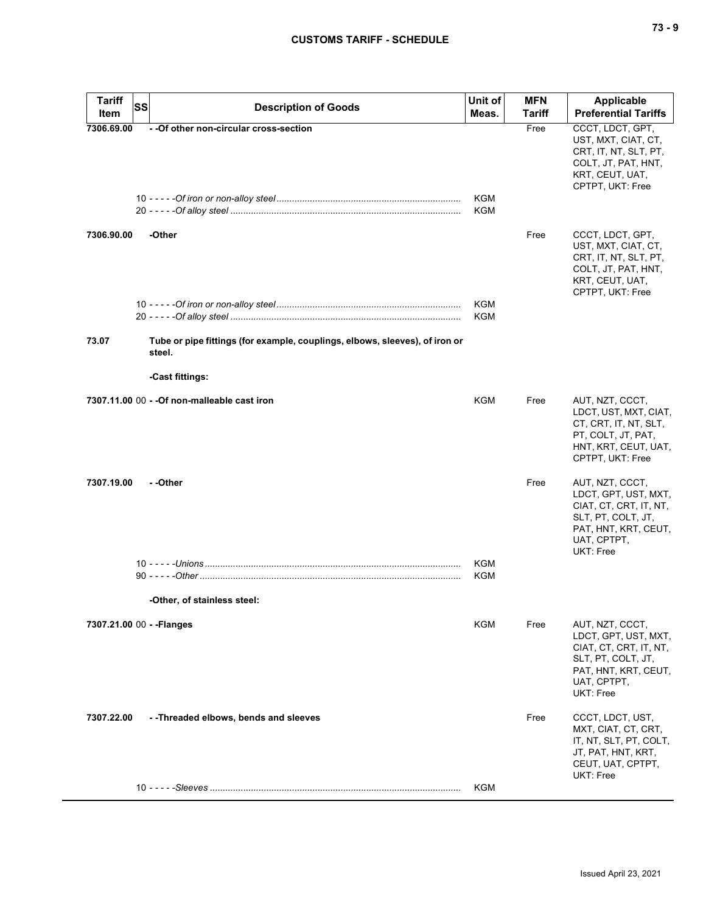| <b>Tariff</b><br>SS       | <b>Description of Goods</b>                                                           | Unit of    | <b>MFN</b>    | Applicable                                                                                                                                  |
|---------------------------|---------------------------------------------------------------------------------------|------------|---------------|---------------------------------------------------------------------------------------------------------------------------------------------|
| Item                      |                                                                                       | Meas.      | <b>Tariff</b> | <b>Preferential Tariffs</b>                                                                                                                 |
| 7306.69.00                | - - Of other non-circular cross-section                                               | KGM<br>KGM | Free          | CCCT, LDCT, GPT,<br>UST, MXT, CIAT, CT,<br>CRT, IT, NT, SLT, PT,<br>COLT, JT, PAT, HNT,<br>KRT, CEUT, UAT,<br>CPTPT, UKT: Free              |
| 7306.90.00                | -Other                                                                                | KGM        | Free          | CCCT, LDCT, GPT,<br>UST, MXT, CIAT, CT,<br>CRT, IT, NT, SLT, PT,<br>COLT, JT, PAT, HNT,<br>KRT, CEUT, UAT,<br>CPTPT, UKT: Free              |
|                           |                                                                                       | KGM        |               |                                                                                                                                             |
| 73.07                     | Tube or pipe fittings (for example, couplings, elbows, sleeves), of iron or<br>steel. |            |               |                                                                                                                                             |
|                           | -Cast fittings:                                                                       |            |               |                                                                                                                                             |
|                           | 7307.11.00 00 - - Of non-malleable cast iron                                          | KGM        | Free          | AUT, NZT, CCCT,<br>LDCT, UST, MXT, CIAT,<br>CT, CRT, IT, NT, SLT,<br>PT, COLT, JT, PAT,<br>HNT, KRT, CEUT, UAT,<br>CPTPT, UKT: Free         |
| 7307.19.00                | - -Other                                                                              |            | Free          | AUT, NZT, CCCT,<br>LDCT, GPT, UST, MXT,<br>CIAT, CT, CRT, IT, NT,<br>SLT, PT, COLT, JT,<br>PAT, HNT, KRT, CEUT,<br>UAT, CPTPT,<br>UKT: Free |
|                           |                                                                                       | <b>KGM</b> |               |                                                                                                                                             |
|                           |                                                                                       | KGM        |               |                                                                                                                                             |
|                           | -Other, of stainless steel:                                                           |            |               |                                                                                                                                             |
|                           |                                                                                       | KGM        | Free          |                                                                                                                                             |
| 7307.21.00 00 - - Flanges |                                                                                       |            |               | AUT, NZT, CCCT,<br>LDCT, GPT, UST, MXT,<br>CIAT, CT, CRT, IT, NT,<br>SLT, PT, COLT, JT,<br>PAT, HNT, KRT, CEUT,<br>UAT, CPTPT,<br>UKT: Free |
| 7307.22.00                | --Threaded elbows, bends and sleeves                                                  |            | Free          | CCCT, LDCT, UST,<br>MXT, CIAT, CT, CRT,<br>IT, NT, SLT, PT, COLT,<br>JT, PAT, HNT, KRT,<br>CEUT, UAT, CPTPT,<br>UKT: Free                   |
|                           |                                                                                       | KGM        |               |                                                                                                                                             |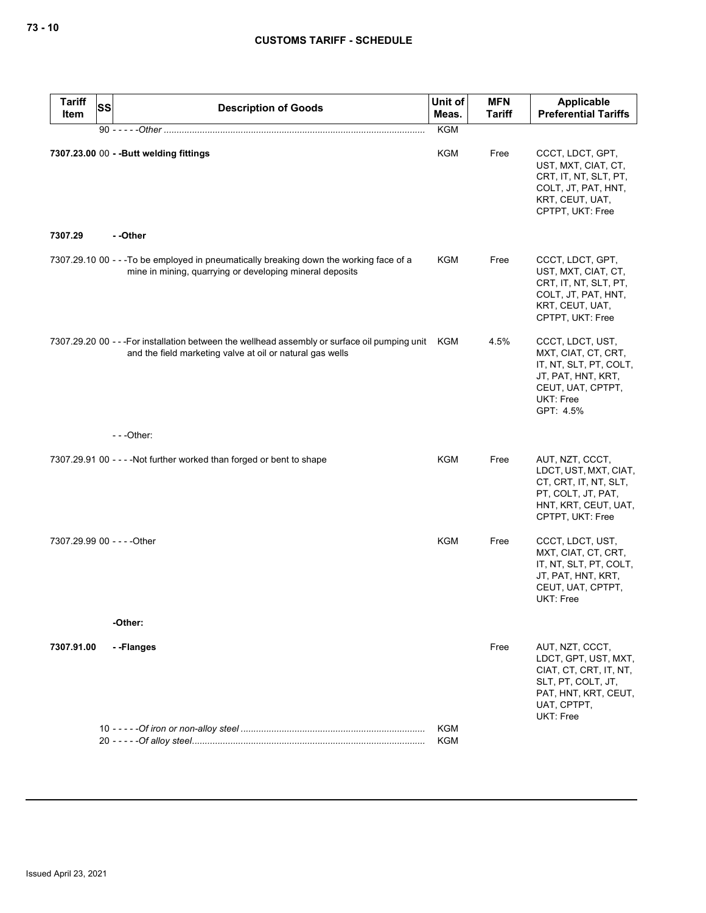| <b>Tariff</b><br>Item       | <b>SS</b> | <b>Description of Goods</b>                                                                                                                                     | Unit of<br>Meas. | <b>MFN</b><br><b>Tariff</b> | Applicable<br><b>Preferential Tariffs</b>                                                                                                          |
|-----------------------------|-----------|-----------------------------------------------------------------------------------------------------------------------------------------------------------------|------------------|-----------------------------|----------------------------------------------------------------------------------------------------------------------------------------------------|
|                             |           | 90 - - - - - Other ………………………………………………………………………………………                                                                                                            | <b>KGM</b>       |                             |                                                                                                                                                    |
|                             |           | 7307.23.00 00 - - Butt welding fittings                                                                                                                         | <b>KGM</b>       | Free                        | CCCT, LDCT, GPT,<br>UST, MXT, CIAT, CT,<br>CRT, IT, NT, SLT, PT,<br>COLT, JT, PAT, HNT,<br>KRT, CEUT, UAT,<br>CPTPT, UKT: Free                     |
| 7307.29                     |           | - -Other                                                                                                                                                        |                  |                             |                                                                                                                                                    |
|                             |           | 7307.29.10 00 - - - To be employed in pneumatically breaking down the working face of a<br>mine in mining, quarrying or developing mineral deposits             | <b>KGM</b>       | Free                        | CCCT, LDCT, GPT,<br>UST, MXT, CIAT, CT,<br>CRT, IT, NT, SLT, PT,<br>COLT, JT, PAT, HNT,<br>KRT, CEUT, UAT,<br>CPTPT, UKT: Free                     |
|                             |           | 7307.29.20 00 - - - For installation between the wellhead assembly or surface oil pumping unit KGM<br>and the field marketing valve at oil or natural gas wells |                  | 4.5%                        | CCCT, LDCT, UST,<br>MXT, CIAT, CT, CRT,<br>IT, NT, SLT, PT, COLT,<br>JT, PAT, HNT, KRT,<br>CEUT, UAT, CPTPT,<br><b>UKT: Free</b><br>GPT: 4.5%      |
|                             |           | $--$ Other:                                                                                                                                                     |                  |                             |                                                                                                                                                    |
|                             |           | 7307.29.91 00 - - - - Not further worked than forged or bent to shape                                                                                           | KGM              | Free                        | AUT, NZT, CCCT,<br>LDCT, UST, MXT, CIAT,<br>CT, CRT, IT, NT, SLT,<br>PT, COLT, JT, PAT,<br>HNT, KRT, CEUT, UAT,<br>CPTPT, UKT: Free                |
| 7307.29.99 00 - - - - Other |           |                                                                                                                                                                 | KGM              | Free                        | CCCT, LDCT, UST,<br>MXT, CIAT, CT, CRT,<br>IT, NT, SLT, PT, COLT,<br>JT, PAT, HNT, KRT,<br>CEUT, UAT, CPTPT,<br>UKT: Free                          |
|                             |           | -Other:                                                                                                                                                         |                  |                             |                                                                                                                                                    |
| 7307.91.00                  |           | - -Flanges                                                                                                                                                      | <b>KGM</b>       | Free                        | AUT, NZT, CCCT,<br>LDCT, GPT, UST, MXT,<br>CIAT, CT, CRT, IT, NT,<br>SLT, PT, COLT, JT,<br>PAT, HNT, KRT, CEUT,<br>UAT, CPTPT,<br><b>UKT: Free</b> |
|                             |           |                                                                                                                                                                 | <b>KGM</b>       |                             |                                                                                                                                                    |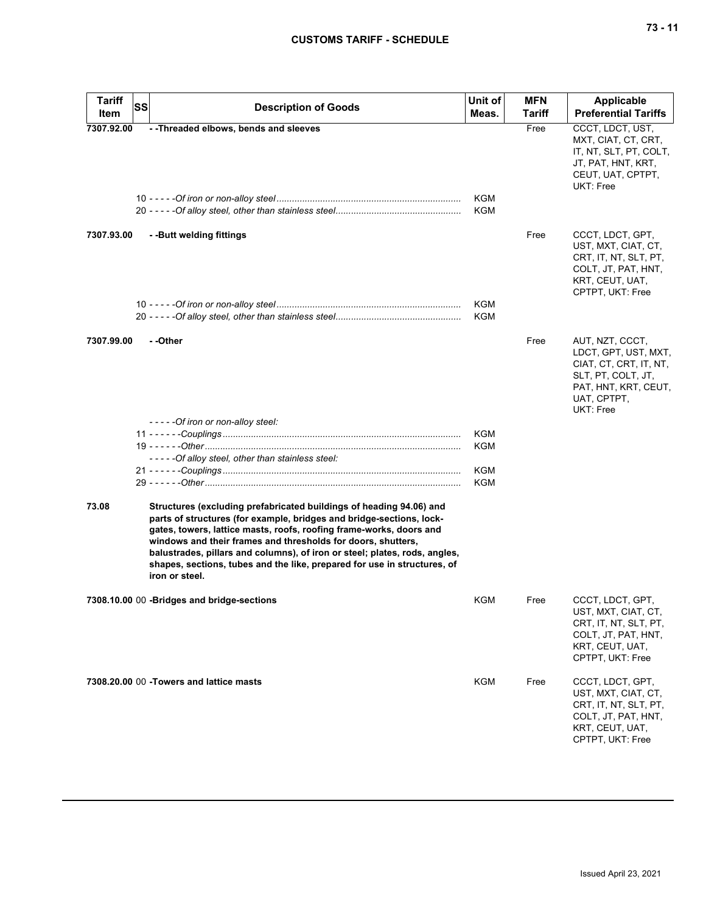| <b>Tariff</b> | <b>SS</b>                                                                                                                                                                                                                                                                                                                                                                                                                                                      | Unit of    | <b>MFN</b> | <b>Applicable</b>                                                                                                                                  |
|---------------|----------------------------------------------------------------------------------------------------------------------------------------------------------------------------------------------------------------------------------------------------------------------------------------------------------------------------------------------------------------------------------------------------------------------------------------------------------------|------------|------------|----------------------------------------------------------------------------------------------------------------------------------------------------|
| Item          | <b>Description of Goods</b>                                                                                                                                                                                                                                                                                                                                                                                                                                    | Meas.      | Tariff     | <b>Preferential Tariffs</b>                                                                                                                        |
| 7307.92.00    | -- Threaded elbows, bends and sleeves                                                                                                                                                                                                                                                                                                                                                                                                                          |            | Free       | CCCT, LDCT, UST,<br>MXT, CIAT, CT, CRT,<br>IT, NT, SLT, PT, COLT,<br>JT, PAT, HNT, KRT,<br>CEUT, UAT, CPTPT,<br>UKT: Free                          |
|               |                                                                                                                                                                                                                                                                                                                                                                                                                                                                | KGM<br>KGM |            |                                                                                                                                                    |
| 7307.93.00    | --Butt welding fittings                                                                                                                                                                                                                                                                                                                                                                                                                                        |            | Free       | CCCT, LDCT, GPT,<br>UST, MXT, CIAT, CT,<br>CRT, IT, NT, SLT, PT,<br>COLT, JT, PAT, HNT,<br>KRT, CEUT, UAT,<br>CPTPT, UKT: Free                     |
|               |                                                                                                                                                                                                                                                                                                                                                                                                                                                                | KGM<br>KGM |            |                                                                                                                                                    |
| 7307.99.00    | - -Other                                                                                                                                                                                                                                                                                                                                                                                                                                                       |            | Free       | AUT, NZT, CCCT,<br>LDCT, GPT, UST, MXT,<br>CIAT, CT, CRT, IT, NT,<br>SLT, PT, COLT, JT,<br>PAT, HNT, KRT, CEUT,<br>UAT, CPTPT,<br><b>UKT: Free</b> |
|               | - - - - - Of iron or non-alloy steel:                                                                                                                                                                                                                                                                                                                                                                                                                          |            |            |                                                                                                                                                    |
|               |                                                                                                                                                                                                                                                                                                                                                                                                                                                                | KGM        |            |                                                                                                                                                    |
|               |                                                                                                                                                                                                                                                                                                                                                                                                                                                                | KGM        |            |                                                                                                                                                    |
|               | -----Of alloy steel, other than stainless steel:                                                                                                                                                                                                                                                                                                                                                                                                               |            |            |                                                                                                                                                    |
|               |                                                                                                                                                                                                                                                                                                                                                                                                                                                                | KGM        |            |                                                                                                                                                    |
|               |                                                                                                                                                                                                                                                                                                                                                                                                                                                                | KGM        |            |                                                                                                                                                    |
| 73.08         | Structures (excluding prefabricated buildings of heading 94.06) and<br>parts of structures (for example, bridges and bridge-sections, lock-<br>gates, towers, lattice masts, roofs, roofing frame-works, doors and<br>windows and their frames and thresholds for doors, shutters,<br>balustrades, pillars and columns), of iron or steel; plates, rods, angles,<br>shapes, sections, tubes and the like, prepared for use in structures, of<br>iron or steel. |            |            |                                                                                                                                                    |
|               | 7308.10.00 00 -Bridges and bridge-sections                                                                                                                                                                                                                                                                                                                                                                                                                     | KGM        | Free       | CCCT, LDCT, GPT,<br>UST, MXT, CIAT, CT,<br>CRT, IT, NT, SLT, PT,<br>COLT, JT, PAT, HNT,<br>KRT, CEUT, UAT,<br>CPTPT, UKT: Free                     |
|               | 7308.20.00 00 - Towers and lattice masts                                                                                                                                                                                                                                                                                                                                                                                                                       | <b>KGM</b> | Free       | CCCT, LDCT, GPT,<br>UST, MXT, CIAT, CT,<br>CRT, IT, NT, SLT, PT,<br>COLT, JT, PAT, HNT,<br>KRT, CEUT, UAT,<br>CPTPT, UKT: Free                     |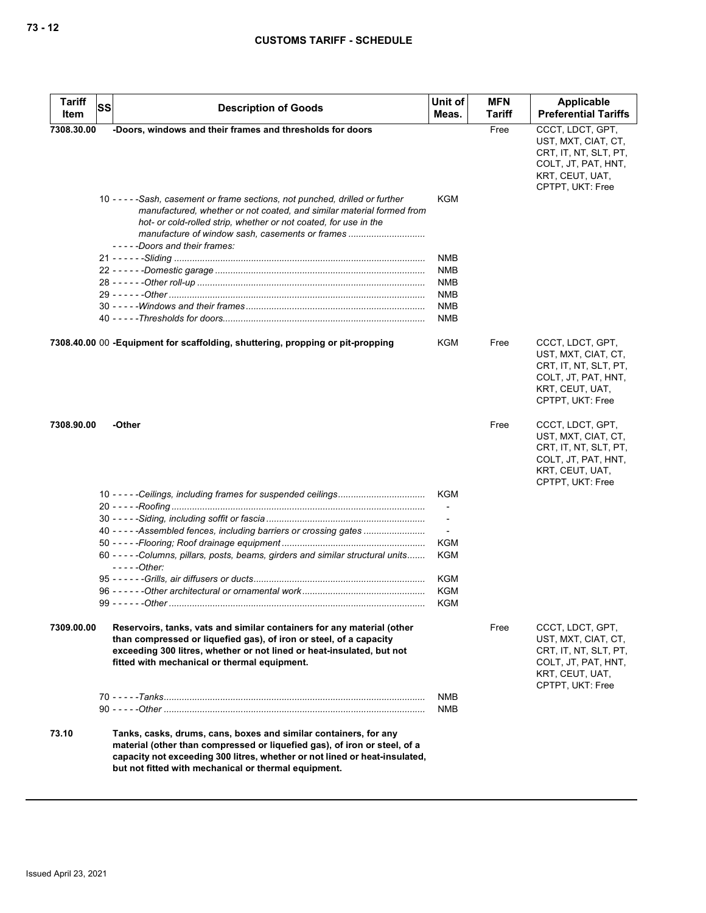| <b>Tariff</b> | <b>SS</b> | <b>Description of Goods</b>                                                                                                                                                                                                                                                                                        | Unit of                  | <b>MFN</b>    | Applicable                                                                                                                     |
|---------------|-----------|--------------------------------------------------------------------------------------------------------------------------------------------------------------------------------------------------------------------------------------------------------------------------------------------------------------------|--------------------------|---------------|--------------------------------------------------------------------------------------------------------------------------------|
| Item          |           |                                                                                                                                                                                                                                                                                                                    | Meas.                    | <b>Tariff</b> | <b>Preferential Tariffs</b>                                                                                                    |
| 7308.30.00    |           | -Doors, windows and their frames and thresholds for doors                                                                                                                                                                                                                                                          |                          | Free          | CCCT, LDCT, GPT,<br>UST, MXT, CIAT, CT,<br>CRT, IT, NT, SLT, PT,<br>COLT, JT, PAT, HNT,<br>KRT, CEUT, UAT,<br>CPTPT, UKT: Free |
|               |           | 10 - - - - - Sash, casement or frame sections, not punched, drilled or further<br>manufactured, whether or not coated, and similar material formed from<br>hot- or cold-rolled strip, whether or not coated, for use in the<br>manufacture of window sash, casements or frames<br>- - - - -Doors and their frames: | KGM                      |               |                                                                                                                                |
|               |           |                                                                                                                                                                                                                                                                                                                    | NMB                      |               |                                                                                                                                |
|               |           |                                                                                                                                                                                                                                                                                                                    | <b>NMB</b>               |               |                                                                                                                                |
|               |           |                                                                                                                                                                                                                                                                                                                    | NMB                      |               |                                                                                                                                |
|               |           |                                                                                                                                                                                                                                                                                                                    | NMB                      |               |                                                                                                                                |
|               |           |                                                                                                                                                                                                                                                                                                                    | <b>NMB</b>               |               |                                                                                                                                |
|               |           |                                                                                                                                                                                                                                                                                                                    | <b>NMB</b>               |               |                                                                                                                                |
|               |           |                                                                                                                                                                                                                                                                                                                    |                          |               |                                                                                                                                |
|               |           | 7308.40.00 00 - Equipment for scaffolding, shuttering, propping or pit-propping                                                                                                                                                                                                                                    | KGM                      | Free          | CCCT, LDCT, GPT,<br>UST, MXT, CIAT, CT,<br>CRT, IT, NT, SLT, PT,<br>COLT, JT, PAT, HNT,<br>KRT, CEUT, UAT,<br>CPTPT, UKT: Free |
| 7308.90.00    |           | -Other                                                                                                                                                                                                                                                                                                             |                          | Free          | CCCT, LDCT, GPT,<br>UST, MXT, CIAT, CT,<br>CRT, IT, NT, SLT, PT,<br>COLT, JT, PAT, HNT,<br>KRT, CEUT, UAT,<br>CPTPT, UKT: Free |
|               |           |                                                                                                                                                                                                                                                                                                                    | KGM                      |               |                                                                                                                                |
|               |           |                                                                                                                                                                                                                                                                                                                    | $\overline{\phantom{a}}$ |               |                                                                                                                                |
|               |           |                                                                                                                                                                                                                                                                                                                    | $\overline{\phantom{a}}$ |               |                                                                                                                                |
|               |           | 40 - - - - - Assembled fences, including barriers or crossing gates                                                                                                                                                                                                                                                | $\overline{\phantom{a}}$ |               |                                                                                                                                |
|               |           |                                                                                                                                                                                                                                                                                                                    | KGM                      |               |                                                                                                                                |
|               |           | 60 - - - - - Columns, pillars, posts, beams, girders and similar structural units<br>- - - - - Other:                                                                                                                                                                                                              | <b>KGM</b>               |               |                                                                                                                                |
|               |           |                                                                                                                                                                                                                                                                                                                    | KGM                      |               |                                                                                                                                |
|               |           |                                                                                                                                                                                                                                                                                                                    | <b>KGM</b>               |               |                                                                                                                                |
|               |           |                                                                                                                                                                                                                                                                                                                    | KGM                      |               |                                                                                                                                |
| 7309.00.00    |           | Reservoirs, tanks, vats and similar containers for any material (other<br>than compressed or liquefied gas), of iron or steel, of a capacity<br>exceeding 300 litres, whether or not lined or heat-insulated, but not<br>fitted with mechanical or thermal equipment.                                              |                          | Free          | CCCT, LDCT, GPT,<br>UST, MXT, CIAT, CT,<br>CRT, IT, NT, SLT, PT,<br>COLT, JT, PAT, HNT,<br>KRT, CEUT, UAT,<br>CPTPT, UKT: Free |
|               |           |                                                                                                                                                                                                                                                                                                                    | <b>NMB</b>               |               |                                                                                                                                |
|               |           |                                                                                                                                                                                                                                                                                                                    | NMB                      |               |                                                                                                                                |
| 73.10         |           | Tanks, casks, drums, cans, boxes and similar containers, for any<br>material (other than compressed or liquefied gas), of iron or steel, of a<br>capacity not exceeding 300 litres, whether or not lined or heat-insulated,<br>but not fitted with mechanical or thermal equipment.                                |                          |               |                                                                                                                                |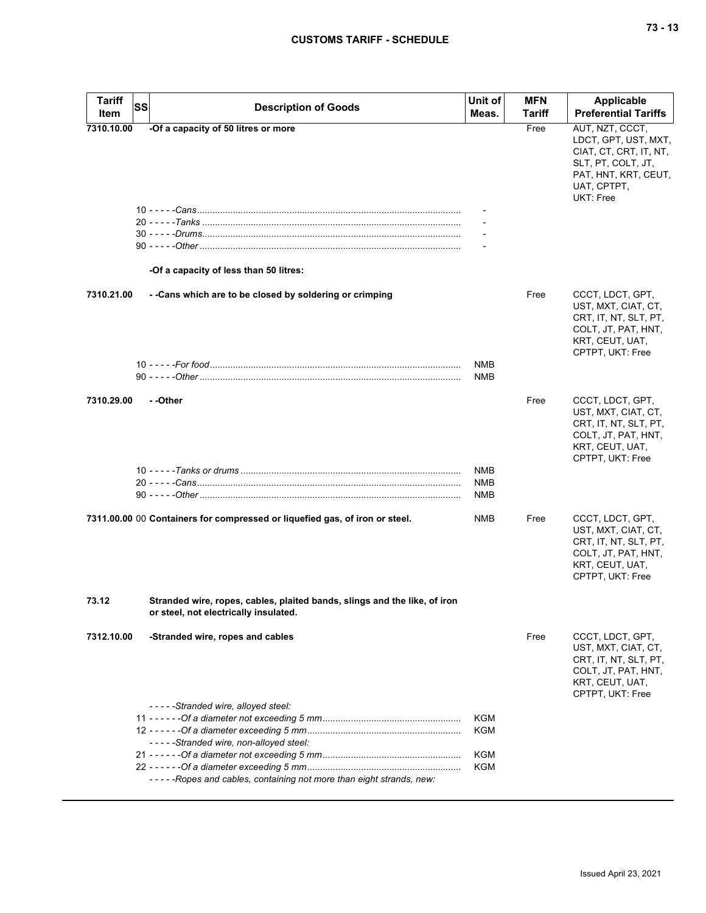| <b>Tariff</b><br>Item | SS | <b>Description of Goods</b>                                                                                        | Unit of<br>Meas.         | <b>MFN</b><br><b>Tariff</b> | <b>Applicable</b><br><b>Preferential Tariffs</b>                                                                                                   |
|-----------------------|----|--------------------------------------------------------------------------------------------------------------------|--------------------------|-----------------------------|----------------------------------------------------------------------------------------------------------------------------------------------------|
| 7310.10.00            |    | -Of a capacity of 50 litres or more                                                                                |                          | Free                        | AUT, NZT, CCCT,<br>LDCT, GPT, UST, MXT,<br>CIAT, CT, CRT, IT, NT,<br>SLT, PT, COLT, JT,<br>PAT, HNT, KRT, CEUT,<br>UAT, CPTPT,<br><b>UKT: Free</b> |
|                       |    | 20 - - - - - Tanks …………………………………………………………………………………                                                                 |                          |                             |                                                                                                                                                    |
|                       |    | -Of a capacity of less than 50 litres:                                                                             |                          |                             |                                                                                                                                                    |
| 7310.21.00            |    | - - Cans which are to be closed by soldering or crimping                                                           |                          | Free                        | CCCT, LDCT, GPT,<br>UST, MXT, CIAT, CT,<br>CRT, IT, NT, SLT, PT,<br>COLT, JT, PAT, HNT,<br>KRT, CEUT, UAT,<br>CPTPT, UKT: Free                     |
|                       |    |                                                                                                                    | <b>NMB</b><br><b>NMB</b> |                             |                                                                                                                                                    |
| 7310.29.00            |    | --Other                                                                                                            |                          | Free                        | CCCT, LDCT, GPT,<br>UST, MXT, CIAT, CT,<br>CRT, IT, NT, SLT, PT,<br>COLT, JT, PAT, HNT,<br>KRT, CEUT, UAT,<br>CPTPT, UKT: Free                     |
|                       |    |                                                                                                                    | NMB<br>NMB<br>NMB        |                             |                                                                                                                                                    |
|                       |    | 7311.00.00 00 Containers for compressed or liquefied gas, of iron or steel.                                        | NMB                      | Free                        | CCCT, LDCT, GPT,<br>UST, MXT, CIAT, CT,<br>CRT, IT, NT, SLT, PT,<br>COLT, JT, PAT, HNT,<br>KRT, CEUT, UAT,<br>CPTPT, UKT: Free                     |
| 73.12                 |    | Stranded wire, ropes, cables, plaited bands, slings and the like, of iron<br>or steel, not electrically insulated. |                          |                             |                                                                                                                                                    |
| 7312.10.00            |    | -Stranded wire, ropes and cables                                                                                   |                          | Free                        | CCCT, LDCT, GPT,<br>UST, MXT, CIAT, CT,<br>CRT, IT, NT, SLT, PT,<br>COLT, JT, PAT, HNT,<br>KRT, CEUT, UAT,<br>CPTPT, UKT: Free                     |
|                       |    | -----Stranded wire, alloyed steel:                                                                                 | KGM                      |                             |                                                                                                                                                    |
|                       |    | -----Stranded wire, non-alloyed steel:                                                                             | <b>KGM</b>               |                             |                                                                                                                                                    |
|                       |    |                                                                                                                    | KGM<br>KGM               |                             |                                                                                                                                                    |
|                       |    | -----Ropes and cables, containing not more than eight strands, new:                                                |                          |                             |                                                                                                                                                    |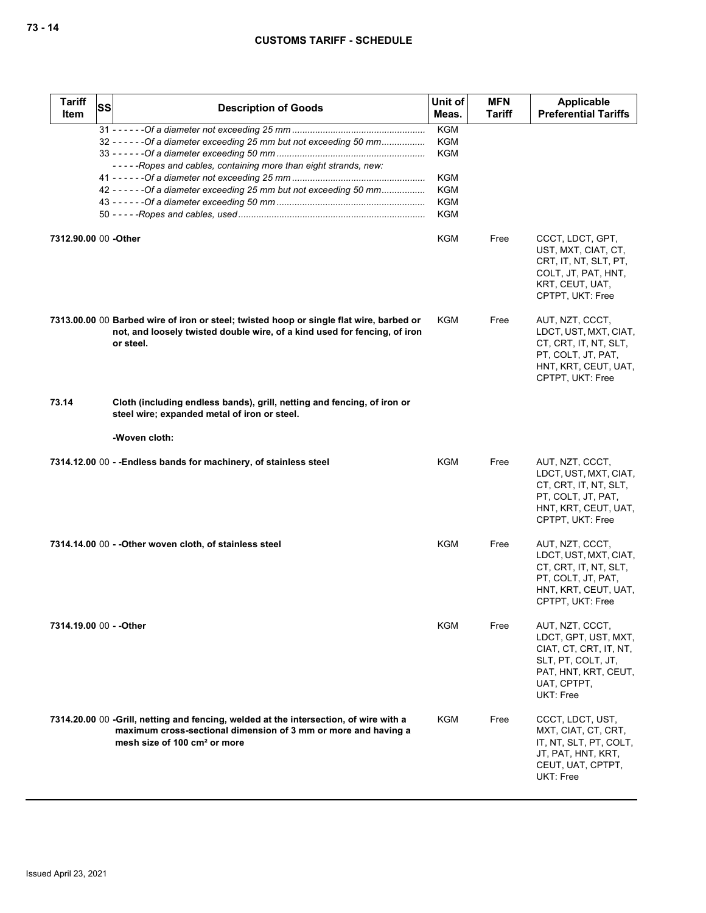| <b>Tariff</b><br><b>Item</b> | SS | <b>Description of Goods</b>                                                                                                                                                                         | Unit of<br>Meas.         | <b>MFN</b><br>Tariff | Applicable<br><b>Preferential Tariffs</b>                                                                                                   |
|------------------------------|----|-----------------------------------------------------------------------------------------------------------------------------------------------------------------------------------------------------|--------------------------|----------------------|---------------------------------------------------------------------------------------------------------------------------------------------|
|                              |    | 32 - - - - - - Of a diameter exceeding 25 mm but not exceeding 50 mm                                                                                                                                | <b>KGM</b><br>KGM        |                      |                                                                                                                                             |
|                              |    | -----Ropes and cables, containing more than eight strands, new:                                                                                                                                     | <b>KGM</b><br><b>KGM</b> |                      |                                                                                                                                             |
|                              |    | 42 - - - - - - Of a diameter exceeding 25 mm but not exceeding 50 mm                                                                                                                                | <b>KGM</b>               |                      |                                                                                                                                             |
|                              |    |                                                                                                                                                                                                     | <b>KGM</b>               |                      |                                                                                                                                             |
|                              |    |                                                                                                                                                                                                     | KGM                      |                      |                                                                                                                                             |
| 7312.90.00 00 - Other        |    |                                                                                                                                                                                                     | KGM                      | Free                 | CCCT, LDCT, GPT,<br>UST, MXT, CIAT, CT,<br>CRT, IT, NT, SLT, PT,<br>COLT, JT, PAT, HNT,<br>KRT, CEUT, UAT,<br>CPTPT, UKT: Free              |
|                              |    | 7313.00.00 00 Barbed wire of iron or steel; twisted hoop or single flat wire, barbed or<br>not, and loosely twisted double wire, of a kind used for fencing, of iron<br>or steel.                   | KGM                      | Free                 | AUT, NZT, CCCT,<br>LDCT, UST, MXT, CIAT,<br>CT, CRT, IT, NT, SLT,<br>PT, COLT, JT, PAT,<br>HNT, KRT, CEUT, UAT,<br>CPTPT, UKT: Free         |
| 73.14                        |    | Cloth (including endless bands), grill, netting and fencing, of iron or<br>steel wire; expanded metal of iron or steel.                                                                             |                          |                      |                                                                                                                                             |
|                              |    | -Woven cloth:                                                                                                                                                                                       |                          |                      |                                                                                                                                             |
|                              |    | 7314.12.00 00 - - Endless bands for machinery, of stainless steel                                                                                                                                   | <b>KGM</b>               | Free                 | AUT, NZT, CCCT,<br>LDCT, UST, MXT, CIAT,<br>CT, CRT, IT, NT, SLT,<br>PT, COLT, JT, PAT,<br>HNT, KRT, CEUT, UAT,<br>CPTPT, UKT: Free         |
|                              |    | 7314.14.00 00 - - Other woven cloth, of stainless steel                                                                                                                                             | KGM                      | Free                 | AUT, NZT, CCCT,<br>LDCT, UST, MXT, CIAT,<br>CT, CRT, IT, NT, SLT,<br>PT, COLT, JT, PAT,<br>HNT, KRT, CEUT, UAT,<br>CPTPT, UKT: Free         |
| 7314.19.00 00 - - Other      |    |                                                                                                                                                                                                     | KGM                      | Free                 | AUT, NZT, CCCT,<br>LDCT, GPT, UST, MXT,<br>CIAT, CT, CRT, IT, NT,<br>SLT, PT, COLT, JT,<br>PAT, HNT, KRT, CEUT,<br>UAT, CPTPT,<br>UKT: Free |
|                              |    | 7314.20.00 00 -Grill, netting and fencing, welded at the intersection, of wire with a<br>maximum cross-sectional dimension of 3 mm or more and having a<br>mesh size of 100 cm <sup>2</sup> or more | KGM                      | Free                 | CCCT, LDCT, UST,<br>MXT, CIAT, CT, CRT,<br>IT, NT, SLT, PT, COLT,<br>JT, PAT, HNT, KRT,<br>CEUT, UAT, CPTPT,<br>UKT: Free                   |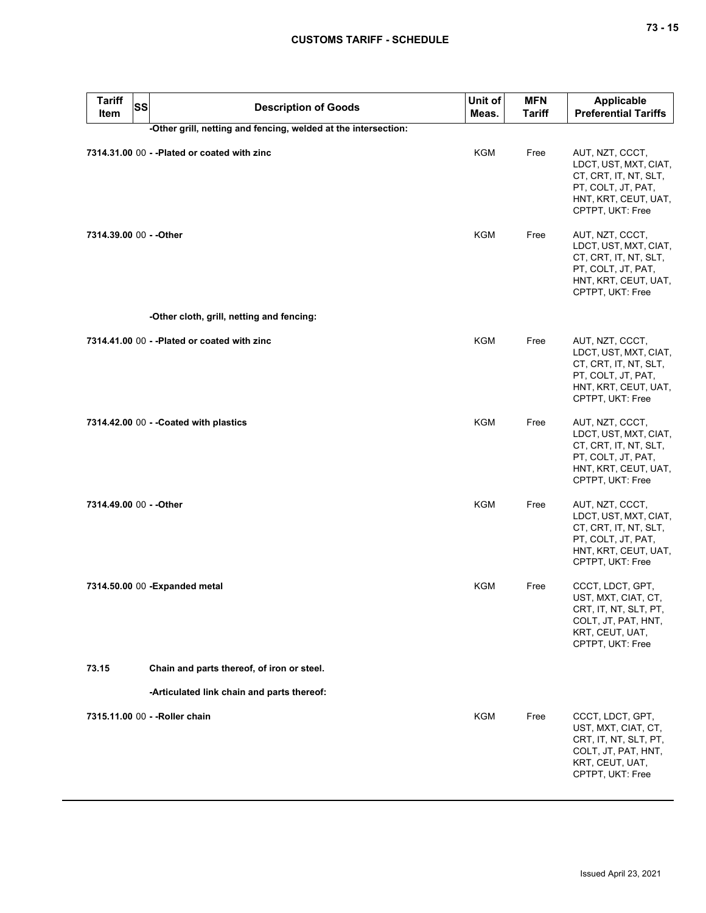| <b>Tariff</b><br><b>SS</b><br>Item | <b>Description of Goods</b>                                    | Unit of<br>Meas. | <b>MFN</b><br><b>Tariff</b> | <b>Applicable</b><br><b>Preferential Tariffs</b>                                                                                    |
|------------------------------------|----------------------------------------------------------------|------------------|-----------------------------|-------------------------------------------------------------------------------------------------------------------------------------|
|                                    | -Other grill, netting and fencing, welded at the intersection: |                  |                             |                                                                                                                                     |
|                                    | 7314.31.00 00 - - Plated or coated with zinc                   | KGM              | Free                        | AUT, NZT, CCCT,<br>LDCT, UST, MXT, CIAT,<br>CT, CRT, IT, NT, SLT,<br>PT, COLT, JT, PAT,<br>HNT, KRT, CEUT, UAT,<br>CPTPT, UKT: Free |
| 7314.39.00 00 - - Other            |                                                                | KGM              | Free                        | AUT, NZT, CCCT,<br>LDCT, UST, MXT, CIAT,<br>CT, CRT, IT, NT, SLT,<br>PT, COLT, JT, PAT,<br>HNT, KRT, CEUT, UAT,<br>CPTPT, UKT: Free |
|                                    | -Other cloth, grill, netting and fencing:                      |                  |                             |                                                                                                                                     |
|                                    | 7314.41.00 00 - - Plated or coated with zinc                   | <b>KGM</b>       | Free                        | AUT, NZT, CCCT,<br>LDCT, UST, MXT, CIAT,<br>CT, CRT, IT, NT, SLT,<br>PT, COLT, JT, PAT,<br>HNT, KRT, CEUT, UAT,<br>CPTPT, UKT: Free |
|                                    | 7314.42.00 00 - - Coated with plastics                         | <b>KGM</b>       | Free                        | AUT, NZT, CCCT,<br>LDCT, UST, MXT, CIAT,<br>CT, CRT, IT, NT, SLT,<br>PT, COLT, JT, PAT,<br>HNT, KRT, CEUT, UAT,<br>CPTPT, UKT: Free |
| 7314.49.00 00 - - Other            |                                                                | <b>KGM</b>       | Free                        | AUT, NZT, CCCT,<br>LDCT, UST, MXT, CIAT,<br>CT, CRT, IT, NT, SLT,<br>PT, COLT, JT, PAT,<br>HNT, KRT, CEUT, UAT,<br>CPTPT, UKT: Free |
|                                    | 7314.50.00 00 - Expanded metal                                 | KGM              | Free                        | CCCT, LDCT, GPT,<br>UST, MXT, CIAT, CT,<br>CHI, II, NI, SLI, PI,<br>COLT, JT, PAT, HNT,<br>KRT, CEUT, UAT,<br>CPTPT, UKT: Free      |
| 73.15                              | Chain and parts thereof, of iron or steel.                     |                  |                             |                                                                                                                                     |
|                                    | -Articulated link chain and parts thereof:                     |                  |                             |                                                                                                                                     |
|                                    | 7315.11.00 00 - - Roller chain                                 | KGM              | Free                        | CCCT, LDCT, GPT,<br>UST, MXT, CIAT, CT,<br>CRT, IT, NT, SLT, PT,<br>COLT, JT, PAT, HNT,<br>KRT, CEUT, UAT,<br>CPTPT, UKT: Free      |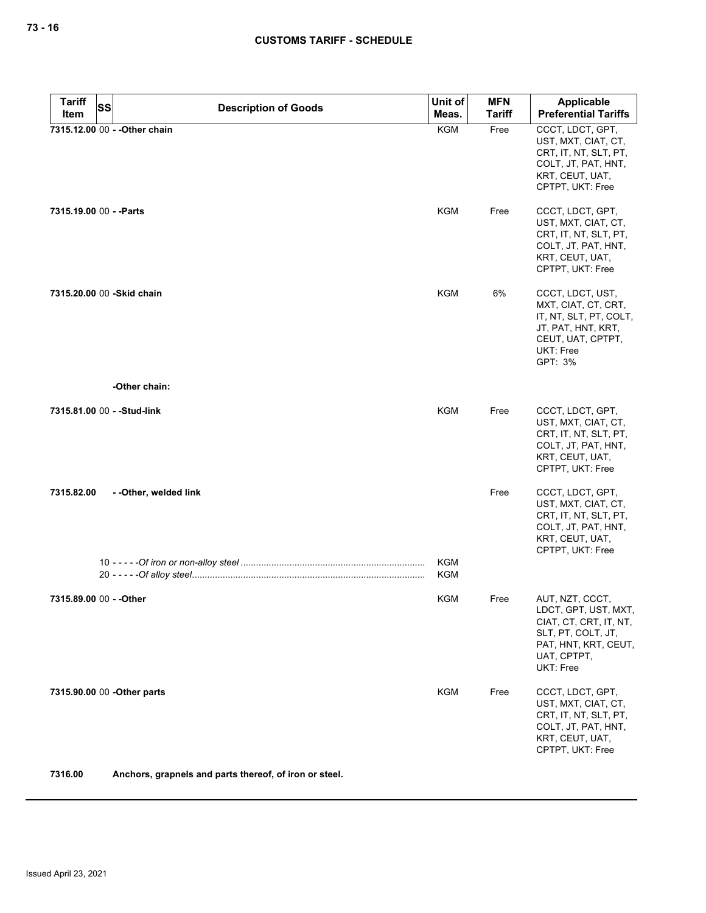| <b>Tariff</b><br>SS         | <b>Description of Goods</b>                            | Unit of                  | <b>MFN</b>    | Applicable                                                                                                                                  |
|-----------------------------|--------------------------------------------------------|--------------------------|---------------|---------------------------------------------------------------------------------------------------------------------------------------------|
| Item                        |                                                        | Meas.                    | <b>Tariff</b> | <b>Preferential Tariffs</b>                                                                                                                 |
|                             | 7315.12.00 00 - - Other chain                          | KGM                      | Free          | CCCT, LDCT, GPT,<br>UST, MXT, CIAT, CT,<br>CRT, IT, NT, SLT, PT,<br>COLT, JT, PAT, HNT,<br>KRT, CEUT, UAT,<br>CPTPT, UKT: Free              |
| 7315.19.00 00 - - Parts     |                                                        | <b>KGM</b>               | Free          | CCCT, LDCT, GPT,<br>UST, MXT, CIAT, CT,<br>CRT, IT, NT, SLT, PT,<br>COLT, JT, PAT, HNT,<br>KRT, CEUT, UAT,<br>CPTPT, UKT: Free              |
| 7315.20.00 00 - Skid chain  |                                                        | KGM                      | 6%            | CCCT, LDCT, UST,<br>MXT, CIAT, CT, CRT,<br>IT, NT, SLT, PT, COLT,<br>JT, PAT, HNT, KRT,<br>CEUT, UAT, CPTPT,<br>UKT: Free<br>GPT: 3%        |
|                             | -Other chain:                                          |                          |               |                                                                                                                                             |
| 7315.81.00 00 - - Stud-link |                                                        | KGM                      | Free          | CCCT, LDCT, GPT,<br>UST, MXT, CIAT, CT,<br>CRT, IT, NT, SLT, PT,<br>COLT, JT, PAT, HNT,<br>KRT, CEUT, UAT,<br>CPTPT, UKT: Free              |
| 7315.82.00                  | - -Other, welded link                                  |                          | Free          | CCCT, LDCT, GPT,<br>UST, MXT, CIAT, CT,<br>CRT, IT, NT, SLT, PT,<br>COLT, JT, PAT, HNT,<br>KRT, CEUT, UAT,<br>CPTPT, UKT: Free              |
|                             |                                                        | <b>KGM</b><br><b>KGM</b> |               |                                                                                                                                             |
| 7315.89.00 00 - - Other     |                                                        | KGM                      | Free          | AUT, NZT, CCCT,<br>LDCT, GPT, UST, MXT,<br>CIAT, CT, CRT, IT, NT,<br>SLT, PT, COLT, JT,<br>PAT, HNT, KRT, CEUT,<br>UAT, CPTPT,<br>UKT: Free |
| 7315.90.00 00 - Other parts |                                                        | <b>KGM</b>               | Free          | CCCT, LDCT, GPT,<br>UST, MXT, CIAT, CT,<br>CRT, IT, NT, SLT, PT,<br>COLT, JT, PAT, HNT,<br>KRT, CEUT, UAT,<br>CPTPT, UKT: Free              |
| 7316.00                     | Anchors, grapnels and parts thereof, of iron or steel. |                          |               |                                                                                                                                             |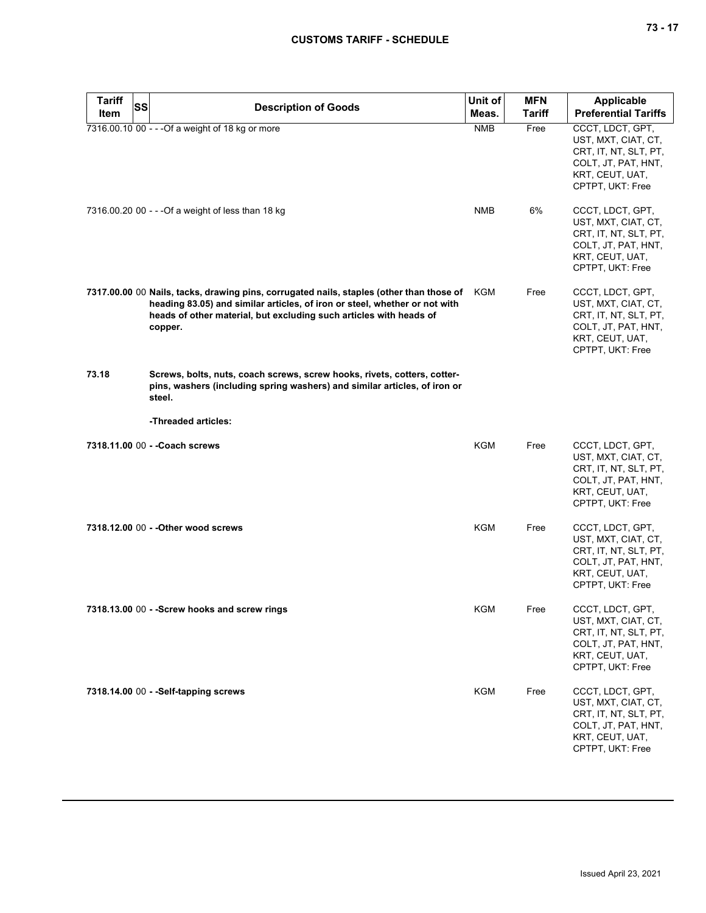| <b>Tariff</b><br>SS | <b>Description of Goods</b>                                                                                                                                                                                                                             | Unit of    | <b>MFN</b>    | <b>Applicable</b>                                                                                                              |
|---------------------|---------------------------------------------------------------------------------------------------------------------------------------------------------------------------------------------------------------------------------------------------------|------------|---------------|--------------------------------------------------------------------------------------------------------------------------------|
| Item                |                                                                                                                                                                                                                                                         | Meas.      | <b>Tariff</b> | <b>Preferential Tariffs</b>                                                                                                    |
|                     | 7316.00.10 00 - - - Of a weight of 18 kg or more                                                                                                                                                                                                        | <b>NMB</b> | Free          | CCCT, LDCT, GPT,<br>UST, MXT, CIAT, CT,<br>CRT, IT, NT, SLT, PT,<br>COLT, JT, PAT, HNT,<br>KRT, CEUT, UAT,<br>CPTPT, UKT: Free |
|                     | 7316.00.20 00 - - - Of a weight of less than 18 kg                                                                                                                                                                                                      | <b>NMB</b> | 6%            | CCCT, LDCT, GPT,<br>UST, MXT, CIAT, CT,<br>CRT, IT, NT, SLT, PT,<br>COLT, JT, PAT, HNT,<br>KRT, CEUT, UAT,<br>CPTPT, UKT: Free |
|                     | 7317.00.00 00 Nails, tacks, drawing pins, corrugated nails, staples (other than those of<br>heading 83.05) and similar articles, of iron or steel, whether or not with<br>heads of other material, but excluding such articles with heads of<br>copper. | KGM        | Free          | CCCT, LDCT, GPT,<br>UST, MXT, CIAT, CT,<br>CRT, IT, NT, SLT, PT,<br>COLT, JT, PAT, HNT,<br>KRT, CEUT, UAT,<br>CPTPT, UKT: Free |
| 73.18               | Screws, bolts, nuts, coach screws, screw hooks, rivets, cotters, cotter-<br>pins, washers (including spring washers) and similar articles, of iron or<br>steel.                                                                                         |            |               |                                                                                                                                |
|                     | -Threaded articles:                                                                                                                                                                                                                                     |            |               |                                                                                                                                |
|                     | 7318.11.00 00 - - Coach screws                                                                                                                                                                                                                          | <b>KGM</b> | Free          | CCCT, LDCT, GPT,<br>UST, MXT, CIAT, CT,<br>CRT, IT, NT, SLT, PT,<br>COLT, JT, PAT, HNT,<br>KRT, CEUT, UAT,<br>CPTPT, UKT: Free |
|                     | 7318.12.00 00 - - Other wood screws                                                                                                                                                                                                                     | KGM        | Free          | CCCT, LDCT, GPT,<br>UST, MXT, CIAT, CT,<br>CRT, IT, NT, SLT, PT,<br>COLT, JT, PAT, HNT,<br>KRT, CEUT, UAT,<br>CPTPT, UKT: Free |
|                     | 7318.13.00 00 - - Screw hooks and screw rings                                                                                                                                                                                                           | KGM        | Free          | CCCT, LDCT, GPT,<br>UST, MXT, CIAT, CT,<br>CRT, IT, NT, SLT, PT,<br>COLT, JT, PAT, HNT,<br>KRT, CEUT, UAT,<br>CPTPT, UKT: Free |
|                     | 7318.14.00 00 - - Self-tapping screws                                                                                                                                                                                                                   | KGM        | Free          | CCCT, LDCT, GPT,<br>UST, MXT, CIAT, CT,<br>CRT, IT, NT, SLT, PT,<br>COLT, JT, PAT, HNT,<br>KRT, CEUT, UAT,<br>CPTPT, UKT: Free |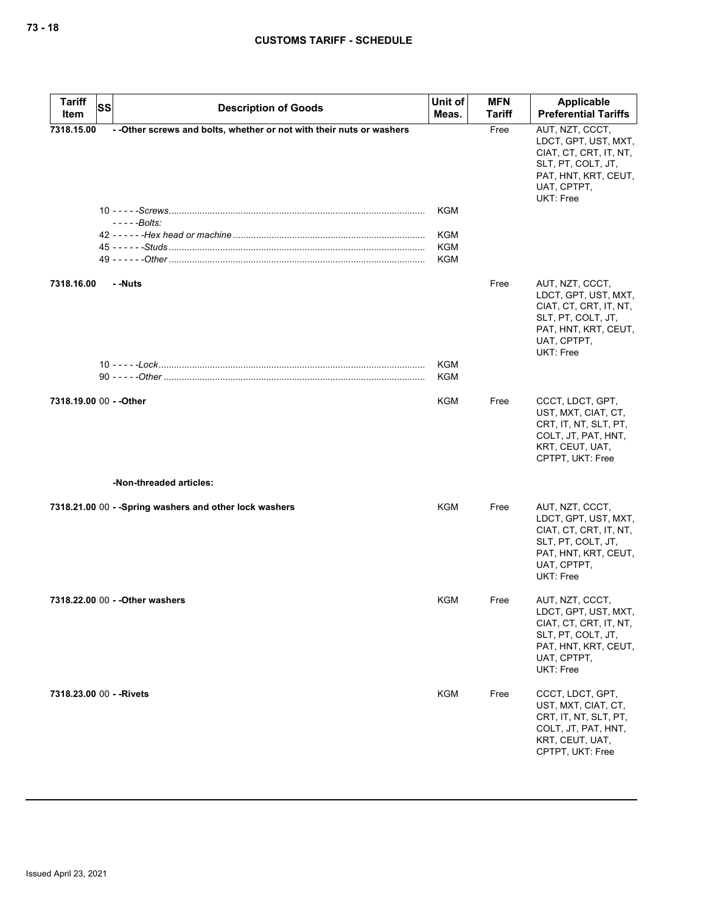| <b>Tariff</b>            | <b>SS</b> | <b>Description of Goods</b>                                                          | Unit of                                              | <b>MFN</b> | Applicable                                                                                                                                         |
|--------------------------|-----------|--------------------------------------------------------------------------------------|------------------------------------------------------|------------|----------------------------------------------------------------------------------------------------------------------------------------------------|
| Item                     |           |                                                                                      | Meas.                                                | Tariff     | <b>Preferential Tariffs</b>                                                                                                                        |
| 7318.15.00               |           | - - Other screws and bolts, whether or not with their nuts or washers<br>$---Bolts:$ | <b>KGM</b><br><b>KGM</b><br><b>KGM</b><br><b>KGM</b> | Free       | AUT, NZT, CCCT,<br>LDCT, GPT, UST, MXT,<br>CIAT, CT, CRT, IT, NT,<br>SLT, PT, COLT, JT,<br>PAT, HNT, KRT, CEUT,<br>UAT, CPTPT,<br>UKT: Free        |
| 7318.16.00               |           | - -Nuts                                                                              | <b>KGM</b>                                           | Free       | AUT, NZT, CCCT,<br>LDCT, GPT, UST, MXT,<br>CIAT, CT, CRT, IT, NT,<br>SLT, PT, COLT, JT,<br>PAT, HNT, KRT, CEUT,<br>UAT, CPTPT,<br><b>UKT: Free</b> |
|                          |           |                                                                                      | <b>KGM</b>                                           |            |                                                                                                                                                    |
| 7318.19.00 00 - - Other  |           |                                                                                      | KGM                                                  | Free       | CCCT, LDCT, GPT,<br>UST, MXT, CIAT, CT,<br>CRT, IT, NT, SLT, PT,<br>COLT, JT, PAT, HNT,<br>KRT, CEUT, UAT,<br>CPTPT, UKT: Free                     |
|                          |           | -Non-threaded articles:                                                              |                                                      |            |                                                                                                                                                    |
|                          |           | 7318.21.00 00 - - Spring washers and other lock washers                              | KGM                                                  | Free       | AUT, NZT, CCCT,<br>LDCT, GPT, UST, MXT,<br>CIAT, CT, CRT, IT, NT,<br>SLT, PT, COLT, JT,<br>PAT, HNT, KRT, CEUT,<br>UAT, CPTPT,<br><b>UKT: Free</b> |
|                          |           | 7318.22.00 00 - - Other washers                                                      | KGM                                                  | Free       | AUT, NZT, CCCT,<br>LDCT, GPT, UST, MXT,<br>CIAT, CT, CRT, IT, NT,<br>SLT, PT, COLT, JT,<br>PAT, HNT, KRT, CEUT,<br>UAT, CPTPT,<br><b>UKT: Free</b> |
| 7318.23.00 00 - - Rivets |           |                                                                                      | KGM                                                  | Free       | CCCT, LDCT, GPT,<br>UST, MXT, CIAT, CT,<br>CRT, IT, NT, SLT, PT,<br>COLT, JT, PAT, HNT,<br>KRT, CEUT, UAT,<br>CPTPT, UKT: Free                     |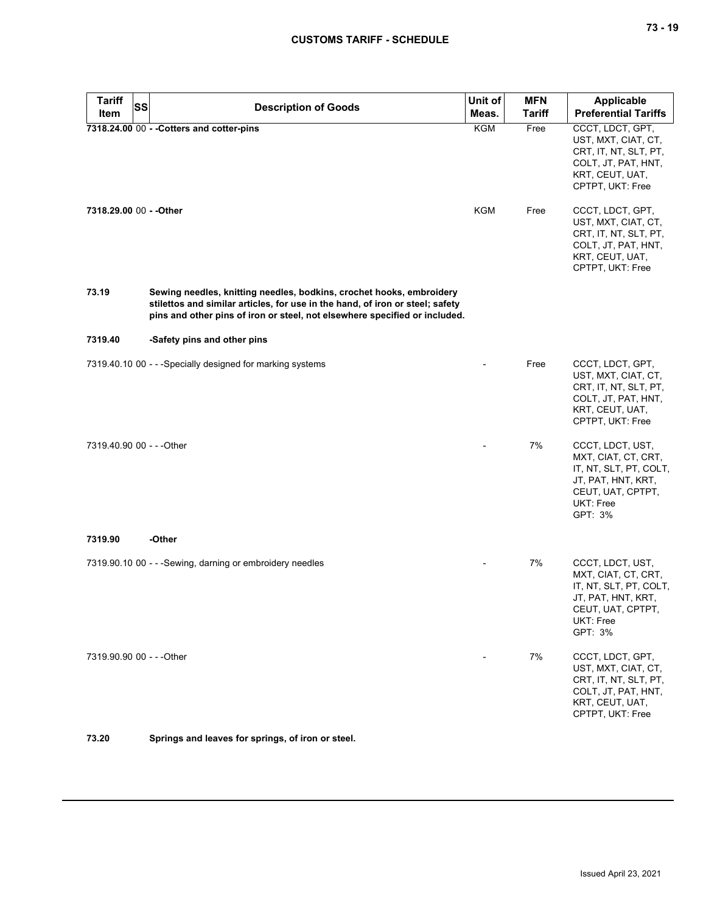| Tariff<br><b>SS</b>       | <b>Description of Goods</b>                                                                                                                                                                                                         | Unit of    | <b>MFN</b>    | Applicable                                                                                                                           |
|---------------------------|-------------------------------------------------------------------------------------------------------------------------------------------------------------------------------------------------------------------------------------|------------|---------------|--------------------------------------------------------------------------------------------------------------------------------------|
| Item                      |                                                                                                                                                                                                                                     | Meas.      | <b>Tariff</b> | <b>Preferential Tariffs</b>                                                                                                          |
|                           | 7318.24.00 00 - - Cotters and cotter-pins                                                                                                                                                                                           | <b>KGM</b> | Free          | CCCT, LDCT, GPT,<br>UST, MXT, CIAT, CT,<br>CRT, IT, NT, SLT, PT,<br>COLT, JT, PAT, HNT,<br>KRT, CEUT, UAT,<br>CPTPT, UKT: Free       |
| 7318.29.00 00 - - Other   |                                                                                                                                                                                                                                     | <b>KGM</b> | Free          | CCCT, LDCT, GPT,<br>UST, MXT, CIAT, CT,<br>CRT, IT, NT, SLT, PT,<br>COLT, JT, PAT, HNT,<br>KRT, CEUT, UAT,<br>CPTPT, UKT: Free       |
| 73.19                     | Sewing needles, knitting needles, bodkins, crochet hooks, embroidery<br>stilettos and similar articles, for use in the hand, of iron or steel; safety<br>pins and other pins of iron or steel, not elsewhere specified or included. |            |               |                                                                                                                                      |
| 7319.40                   | -Safety pins and other pins                                                                                                                                                                                                         |            |               |                                                                                                                                      |
|                           | 7319.40.10 00 - - - Specially designed for marking systems                                                                                                                                                                          |            | Free          | CCCT, LDCT, GPT,<br>UST, MXT, CIAT, CT,<br>CRT, IT, NT, SLT, PT,<br>COLT, JT, PAT, HNT,<br>KRT, CEUT, UAT,<br>CPTPT, UKT: Free       |
| 7319.40.90 00 - - - Other |                                                                                                                                                                                                                                     |            | 7%            | CCCT, LDCT, UST,<br>MXT, CIAT, CT, CRT,<br>IT, NT, SLT, PT, COLT,<br>JT, PAT, HNT, KRT,<br>CEUT, UAT, CPTPT,<br>UKT: Free<br>GPT: 3% |
| 7319.90                   | -Other                                                                                                                                                                                                                              |            |               |                                                                                                                                      |
|                           | 7319.90.10 00 - - - Sewing, darning or embroidery needles                                                                                                                                                                           |            | 7%            | CCCT, LDCT, UST,<br>MXT, CIAT, CT, CRT,<br>IT, NT, SLT, PT, COLT,<br>JT, PAT, HNT, KRT,<br>CEUT, UAT, CPTPT,<br>UKT: Free<br>GPT: 3% |
| 7319.90.90 00 - - - Other |                                                                                                                                                                                                                                     |            | 7%            | CCCT, LDCT, GPT,<br>UST, MXT, CIAT, CT,<br>CRT, IT, NT, SLT, PT,<br>COLT, JT, PAT, HNT,<br>KRT, CEUT, UAT,<br>CPTPT, UKT: Free       |
| 73.20                     | Springs and leaves for springs, of iron or steel.                                                                                                                                                                                   |            |               |                                                                                                                                      |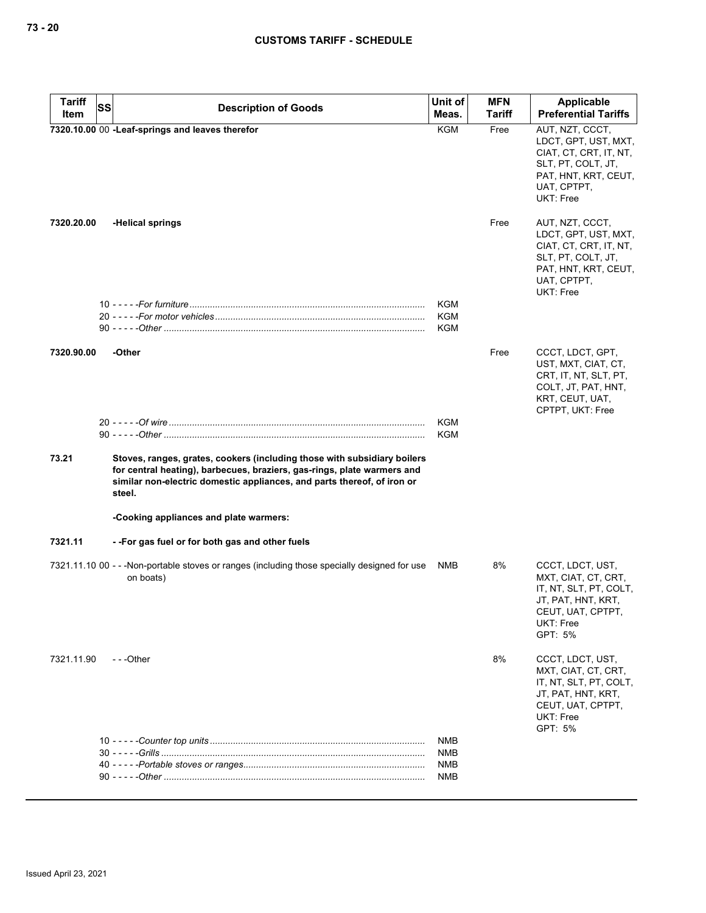| <b>Tariff</b> | SS<br><b>Description of Goods</b>                                                                                                                                                                                                        | Unit of    | <b>MFN</b> | Applicable                                                                                                                                  |
|---------------|------------------------------------------------------------------------------------------------------------------------------------------------------------------------------------------------------------------------------------------|------------|------------|---------------------------------------------------------------------------------------------------------------------------------------------|
| Item          |                                                                                                                                                                                                                                          | Meas.      | Tariff     | <b>Preferential Tariffs</b>                                                                                                                 |
|               | 7320.10.00 00 -Leaf-springs and leaves therefor                                                                                                                                                                                          | <b>KGM</b> | Free       | AUT, NZT, CCCT,<br>LDCT, GPT, UST, MXT,<br>CIAT, CT, CRT, IT, NT,<br>SLT, PT, COLT, JT,<br>PAT, HNT, KRT, CEUT,<br>UAT, CPTPT,<br>UKT: Free |
| 7320.20.00    | -Helical springs                                                                                                                                                                                                                         |            | Free       | AUT, NZT, CCCT,<br>LDCT, GPT, UST, MXT,<br>CIAT, CT, CRT, IT, NT,<br>SLT, PT, COLT, JT,<br>PAT, HNT, KRT, CEUT,<br>UAT, CPTPT,<br>UKT: Free |
|               |                                                                                                                                                                                                                                          | KGM        |            |                                                                                                                                             |
|               |                                                                                                                                                                                                                                          | <b>KGM</b> |            |                                                                                                                                             |
|               |                                                                                                                                                                                                                                          | <b>KGM</b> |            |                                                                                                                                             |
| 7320.90.00    | -Other                                                                                                                                                                                                                                   |            | Free       | CCCT, LDCT, GPT,<br>UST, MXT, CIAT, CT,<br>CRT, IT, NT, SLT, PT,<br>COLT, JT, PAT, HNT,<br>KRT, CEUT, UAT,<br>CPTPT, UKT: Free              |
|               |                                                                                                                                                                                                                                          | <b>KGM</b> |            |                                                                                                                                             |
|               |                                                                                                                                                                                                                                          | <b>KGM</b> |            |                                                                                                                                             |
| 73.21         | Stoves, ranges, grates, cookers (including those with subsidiary boilers<br>for central heating), barbecues, braziers, gas-rings, plate warmers and<br>similar non-electric domestic appliances, and parts thereof, of iron or<br>steel. |            |            |                                                                                                                                             |
|               | -Cooking appliances and plate warmers:                                                                                                                                                                                                   |            |            |                                                                                                                                             |
| 7321.11       | --For gas fuel or for both gas and other fuels                                                                                                                                                                                           |            |            |                                                                                                                                             |
|               | 7321.11.10 00 - - -Non-portable stoves or ranges (including those specially designed for use<br>on boats)                                                                                                                                | <b>NMB</b> | 8%         | CCCT, LDCT, UST,<br>MXT, CIAT, CT, CRT,<br>IT, NT, SLT, PT, COLT,<br>JT, PAT, HNT, KRT,<br>CEUT, UAT, CPTPT,<br>UKT: Free<br>GPT: 5%        |
| 7321.11.90    | $- -$ Other                                                                                                                                                                                                                              |            | 8%         | CCCT, LDCT, UST,<br>MXT, CIAT, CT, CRT,<br>IT, NT, SLT, PT, COLT,<br>JT, PAT, HNT, KRT,<br>CEUT, UAT, CPTPT,<br>UKT: Free<br>GPT: 5%        |
|               |                                                                                                                                                                                                                                          | NMB        |            |                                                                                                                                             |
|               |                                                                                                                                                                                                                                          | NMB        |            |                                                                                                                                             |
|               |                                                                                                                                                                                                                                          | NMB        |            |                                                                                                                                             |
|               |                                                                                                                                                                                                                                          | NMB        |            |                                                                                                                                             |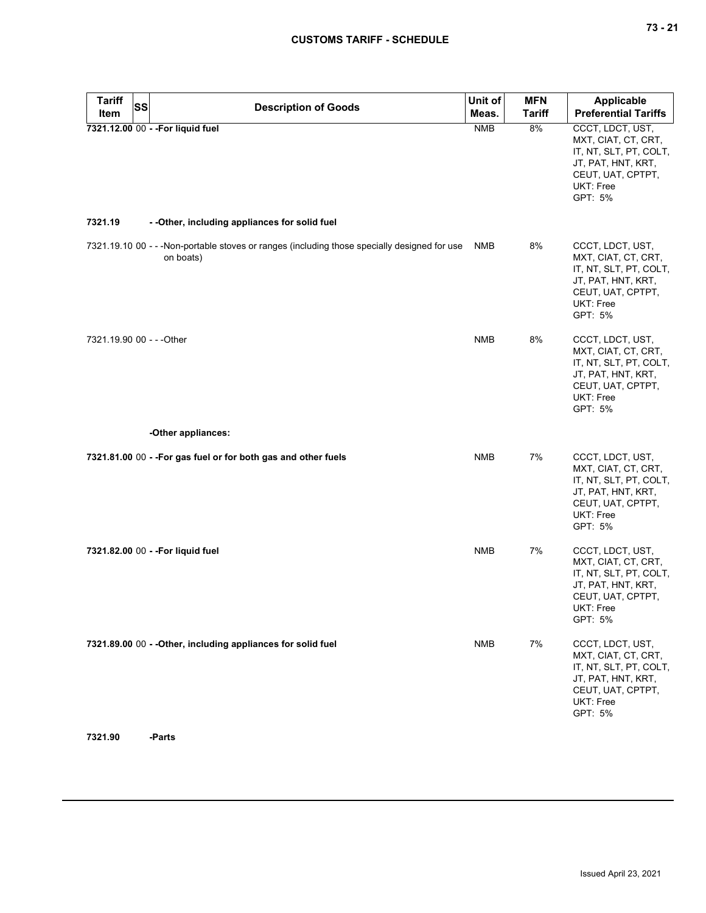| <b>Tariff</b><br><b>SS</b>        | <b>Description of Goods</b>                                                                                | Unit of    | <b>MFN</b>    | Applicable                                                                                                                           |
|-----------------------------------|------------------------------------------------------------------------------------------------------------|------------|---------------|--------------------------------------------------------------------------------------------------------------------------------------|
| Item                              |                                                                                                            | Meas.      | <b>Tariff</b> | <b>Preferential Tariffs</b>                                                                                                          |
| 7321.12.00 00 - - For liquid fuel |                                                                                                            | <b>NMB</b> | 8%            | CCCT, LDCT, UST,<br>MXT, CIAT, CT, CRT,<br>IT, NT, SLT, PT, COLT,<br>JT, PAT, HNT, KRT,<br>CEUT, UAT, CPTPT,<br>UKT: Free<br>GPT: 5% |
| 7321.19                           | - - Other, including appliances for solid fuel                                                             |            |               |                                                                                                                                      |
|                                   | 7321.19.10 00 - - - Non-portable stoves or ranges (including those specially designed for use<br>on boats) | NMB        | 8%            | CCCT, LDCT, UST,<br>MXT, CIAT, CT, CRT,<br>IT, NT, SLT, PT, COLT,<br>JT, PAT, HNT, KRT,<br>CEUT, UAT, CPTPT,<br>UKT: Free<br>GPT: 5% |
| 7321.19.90 00 - - - Other         |                                                                                                            | <b>NMB</b> | 8%            | CCCT, LDCT, UST,<br>MXT, CIAT, CT, CRT,<br>IT, NT, SLT, PT, COLT,<br>JT, PAT, HNT, KRT,<br>CEUT, UAT, CPTPT,<br>UKT: Free<br>GPT: 5% |
|                                   | -Other appliances:                                                                                         |            |               |                                                                                                                                      |
|                                   | 7321.81.00 00 - - For gas fuel or for both gas and other fuels                                             | <b>NMB</b> | 7%            | CCCT, LDCT, UST,<br>MXT, CIAT, CT, CRT,<br>IT, NT, SLT, PT, COLT,<br>JT, PAT, HNT, KRT,<br>CEUT, UAT, CPTPT,<br>UKT: Free<br>GPT: 5% |
| 7321.82.00 00 - - For liquid fuel |                                                                                                            | <b>NMB</b> | 7%            | CCCT, LDCT, UST,<br>MXT, CIAT, CT, CRT,<br>IT, NT, SLT, PT, COLT,<br>JT, PAT, HNT, KRT,<br>CEUT, UAT, CPTPT,<br>UKT: Free<br>GPT: 5% |
|                                   | 7321.89.00 00 - - Other, including appliances for solid fuel                                               | <b>NMB</b> | 7%            | CCCT, LDCT, UST,<br>MXT, CIAT, CT, CRT,<br>IT, NT, SLT, PT, COLT,<br>JT, PAT, HNT, KRT,<br>CEUT, UAT, CPTPT,<br>UKT: Free<br>GPT: 5% |

**7321.90 -Parts**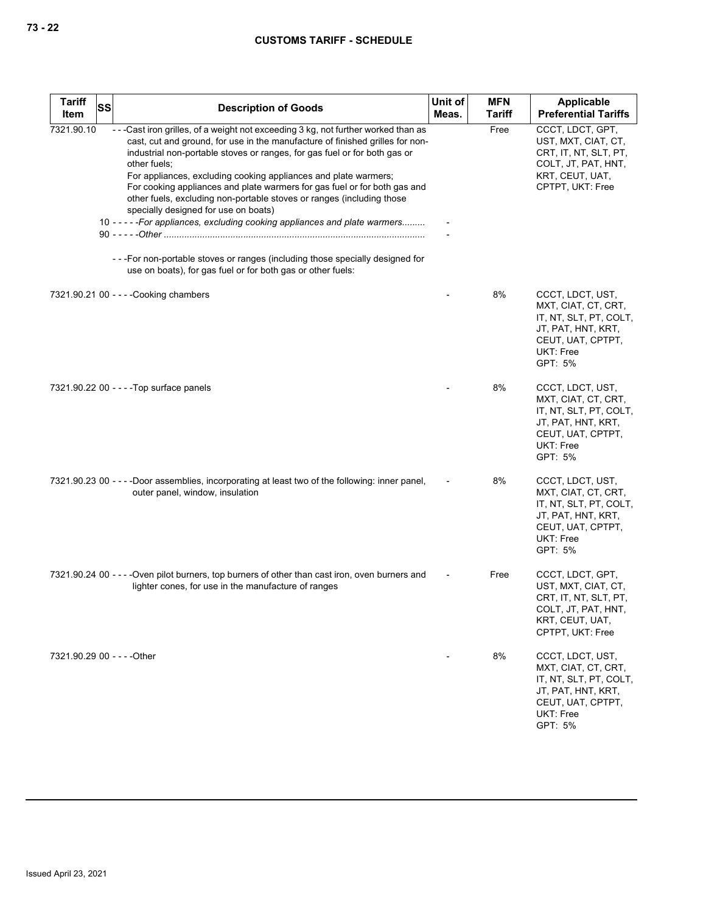| Tariff<br>Item              | <b>SS</b> | <b>Description of Goods</b>                                                                                                                                                                                                                                                                                                                                                                                                                                                                                                                                                                                                                                                                                                                                    | Unit of<br>Meas. | <b>MFN</b><br><b>Tariff</b> | Applicable<br><b>Preferential Tariffs</b>                                                                                            |
|-----------------------------|-----------|----------------------------------------------------------------------------------------------------------------------------------------------------------------------------------------------------------------------------------------------------------------------------------------------------------------------------------------------------------------------------------------------------------------------------------------------------------------------------------------------------------------------------------------------------------------------------------------------------------------------------------------------------------------------------------------------------------------------------------------------------------------|------------------|-----------------------------|--------------------------------------------------------------------------------------------------------------------------------------|
| 7321.90.10                  |           | ---Cast iron grilles, of a weight not exceeding 3 kg, not further worked than as<br>cast, cut and ground, for use in the manufacture of finished grilles for non-<br>industrial non-portable stoves or ranges, for gas fuel or for both gas or<br>other fuels;<br>For appliances, excluding cooking appliances and plate warmers;<br>For cooking appliances and plate warmers for gas fuel or for both gas and<br>other fuels, excluding non-portable stoves or ranges (including those<br>specially designed for use on boats)<br>10 - - - - - For appliances, excluding cooking appliances and plate warmers<br>--- For non-portable stoves or ranges (including those specially designed for<br>use on boats), for gas fuel or for both gas or other fuels: |                  | Free                        | CCCT, LDCT, GPT,<br>UST, MXT, CIAT, CT,<br>CRT, IT, NT, SLT, PT,<br>COLT, JT, PAT, HNT,<br>KRT, CEUT, UAT,<br>CPTPT, UKT: Free       |
|                             |           | 7321.90.21 00 - - - - Cooking chambers                                                                                                                                                                                                                                                                                                                                                                                                                                                                                                                                                                                                                                                                                                                         |                  | 8%                          | CCCT, LDCT, UST,<br>MXT, CIAT, CT, CRT,<br>IT, NT, SLT, PT, COLT,<br>JT, PAT, HNT, KRT,<br>CEUT, UAT, CPTPT,<br>UKT: Free<br>GPT: 5% |
|                             |           | 7321.90.22 00 - - - - Top surface panels                                                                                                                                                                                                                                                                                                                                                                                                                                                                                                                                                                                                                                                                                                                       |                  | 8%                          | CCCT, LDCT, UST,<br>MXT, CIAT, CT, CRT,<br>IT, NT, SLT, PT, COLT,<br>JT, PAT, HNT, KRT,<br>CEUT, UAT, CPTPT,<br>UKT: Free<br>GPT: 5% |
|                             |           | 7321.90.23 00 - - - - Door assemblies, incorporating at least two of the following: inner panel,<br>outer panel, window, insulation                                                                                                                                                                                                                                                                                                                                                                                                                                                                                                                                                                                                                            |                  | 8%                          | CCCT, LDCT, UST,<br>MXT, CIAT, CT, CRT,<br>IT, NT, SLT, PT, COLT,<br>JT, PAT, HNT, KRT,<br>CEUT, UAT, CPTPT,<br>UKT: Free<br>GPT: 5% |
|                             |           | 7321.90.24 00 - - - - Oven pilot burners, top burners of other than cast iron, oven burners and<br>lighter cones, for use in the manufacture of ranges                                                                                                                                                                                                                                                                                                                                                                                                                                                                                                                                                                                                         |                  | Free                        | CCCT, LDCT, GPT,<br>UST, MXT, CIAT, CT,<br>CRT, IT, NT, SLT, PT,<br>COLT, JT, PAT, HNT,<br>KRT, CEUT, UAT,<br>CPTPT, UKT: Free       |
| 7321.90.29 00 - - - - Other |           |                                                                                                                                                                                                                                                                                                                                                                                                                                                                                                                                                                                                                                                                                                                                                                |                  | 8%                          | CCCT, LDCT, UST,<br>MXT, CIAT, CT, CRT,<br>IT, NT, SLT, PT, COLT,<br>JT, PAT, HNT, KRT,<br>CEUT, UAT, CPTPT,<br>UKT: Free<br>GPT: 5% |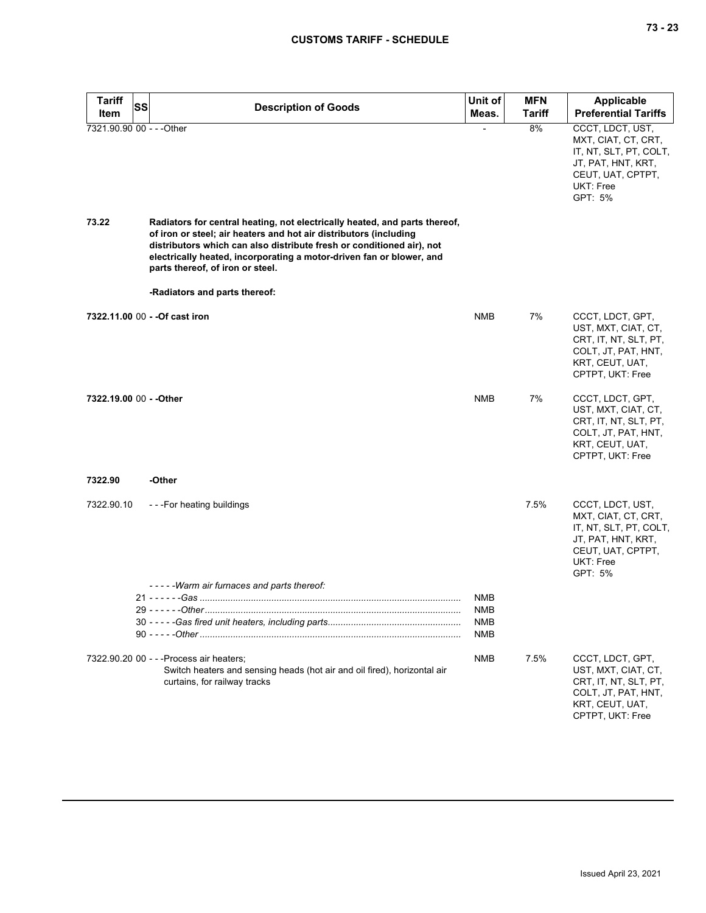| <b>Tariff</b><br><b>SS</b><br>Item | <b>Description of Goods</b>                                                                                                                                                                                                                                                                                                          | Unit of<br>Meas.                | <b>MFN</b><br>Tariff | <b>Applicable</b><br><b>Preferential Tariffs</b>                                                                                     |
|------------------------------------|--------------------------------------------------------------------------------------------------------------------------------------------------------------------------------------------------------------------------------------------------------------------------------------------------------------------------------------|---------------------------------|----------------------|--------------------------------------------------------------------------------------------------------------------------------------|
| 7321.90.90 00 - - - Other          |                                                                                                                                                                                                                                                                                                                                      |                                 | 8%                   | CCCT, LDCT, UST,<br>MXT, CIAT, CT, CRT,<br>IT, NT, SLT, PT, COLT,<br>JT, PAT, HNT, KRT,<br>CEUT, UAT, CPTPT,<br>UKT: Free<br>GPT: 5% |
| 73.22                              | Radiators for central heating, not electrically heated, and parts thereof,<br>of iron or steel; air heaters and hot air distributors (including<br>distributors which can also distribute fresh or conditioned air), not<br>electrically heated, incorporating a motor-driven fan or blower, and<br>parts thereof, of iron or steel. |                                 |                      |                                                                                                                                      |
|                                    | -Radiators and parts thereof:                                                                                                                                                                                                                                                                                                        |                                 |                      |                                                                                                                                      |
|                                    | 7322.11.00 00 - - Of cast iron                                                                                                                                                                                                                                                                                                       | <b>NMB</b>                      | 7%                   | CCCT, LDCT, GPT,<br>UST, MXT, CIAT, CT,<br>CRT, IT, NT, SLT, PT,<br>COLT, JT, PAT, HNT,<br>KRT, CEUT, UAT,<br>CPTPT, UKT: Free       |
| 7322.19.00 00 - - Other            |                                                                                                                                                                                                                                                                                                                                      | <b>NMB</b>                      | 7%                   | CCCT, LDCT, GPT,<br>UST, MXT, CIAT, CT,<br>CRT, IT, NT, SLT, PT,<br>COLT, JT, PAT, HNT,<br>KRT, CEUT, UAT,<br>CPTPT, UKT: Free       |
| 7322.90                            | -Other                                                                                                                                                                                                                                                                                                                               |                                 |                      |                                                                                                                                      |
| 7322.90.10                         | ---For heating buildings                                                                                                                                                                                                                                                                                                             |                                 | 7.5%                 | CCCT, LDCT, UST,<br>MXT, CIAT, CT, CRT,<br>IT, NT, SLT, PT, COLT,<br>JT, PAT, HNT, KRT,<br>CEUT, UAT, CPTPT,<br>UKT: Free<br>GPT: 5% |
|                                    | -----Warm air furnaces and parts thereof:                                                                                                                                                                                                                                                                                            | <b>NMB</b>                      |                      |                                                                                                                                      |
|                                    |                                                                                                                                                                                                                                                                                                                                      | <b>NMB</b><br><b>NMB</b><br>NMB |                      |                                                                                                                                      |
|                                    | 7322.90.20 00 - - - Process air heaters;<br>Switch heaters and sensing heads (hot air and oil fired), horizontal air<br>curtains, for railway tracks                                                                                                                                                                                 | <b>NMB</b>                      | 7.5%                 | CCCT, LDCT, GPT,<br>UST, MXT, CIAT, CT,<br>CRT, IT, NT, SLT, PT,<br>COLT, JT, PAT, HNT,<br>KRT, CEUT, UAT,<br>CPTPT, UKT: Free       |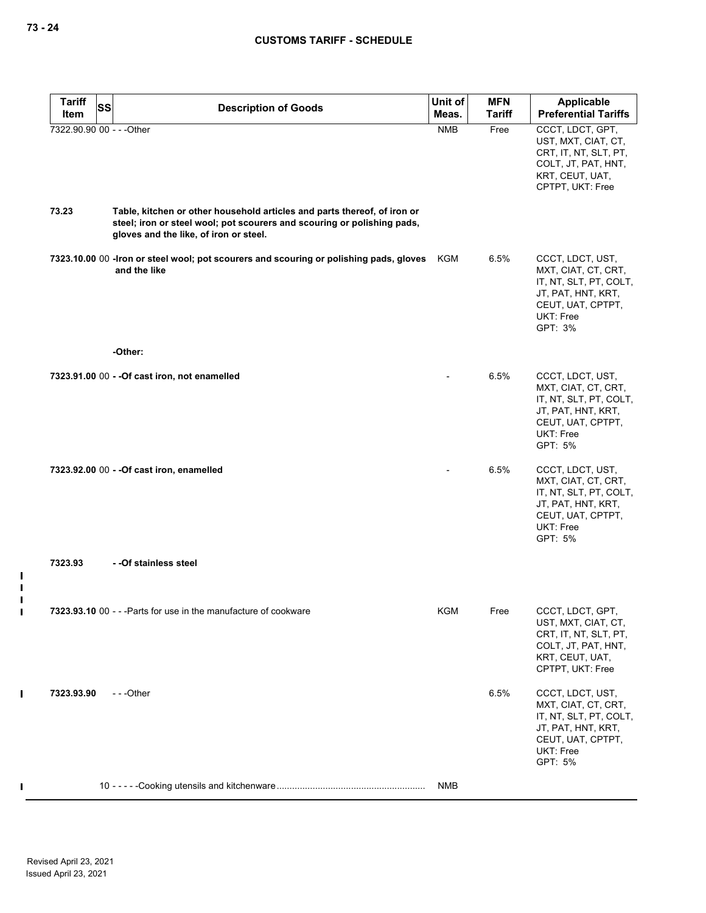| <b>Tariff</b>             | <b>SS</b> | <b>Description of Goods</b>                                                                                                                                                                   | Unit of    | <b>MFN</b>    | <b>Applicable</b>                                                                                                                    |
|---------------------------|-----------|-----------------------------------------------------------------------------------------------------------------------------------------------------------------------------------------------|------------|---------------|--------------------------------------------------------------------------------------------------------------------------------------|
| Item                      |           |                                                                                                                                                                                               | Meas.      | <b>Tariff</b> | <b>Preferential Tariffs</b>                                                                                                          |
| 7322.90.90 00 - - - Other |           |                                                                                                                                                                                               | <b>NMB</b> | Free          | CCCT, LDCT, GPT,<br>UST, MXT, CIAT, CT,<br>CRT, IT, NT, SLT, PT,<br>COLT, JT, PAT, HNT,<br>KRT, CEUT, UAT,<br>CPTPT, UKT: Free       |
| 73.23                     |           | Table, kitchen or other household articles and parts thereof, of iron or<br>steel; iron or steel wool; pot scourers and scouring or polishing pads,<br>gloves and the like, of iron or steel. |            |               |                                                                                                                                      |
|                           |           | 7323.10.00 00 -lron or steel wool; pot scourers and scouring or polishing pads, gloves<br>and the like                                                                                        | KGM        | 6.5%          | CCCT, LDCT, UST,<br>MXT, CIAT, CT, CRT,<br>IT, NT, SLT, PT, COLT,<br>JT, PAT, HNT, KRT,<br>CEUT, UAT, CPTPT,<br>UKT: Free<br>GPT: 3% |
|                           |           | -Other:                                                                                                                                                                                       |            |               |                                                                                                                                      |
|                           |           | 7323.91.00 00 - - Of cast iron, not enamelled                                                                                                                                                 |            | 6.5%          | CCCT, LDCT, UST,<br>MXT, CIAT, CT, CRT,<br>IT, NT, SLT, PT, COLT,<br>JT, PAT, HNT, KRT,<br>CEUT, UAT, CPTPT,<br>UKT: Free<br>GPT: 5% |
|                           |           | 7323.92.00 00 - - Of cast iron, enamelled                                                                                                                                                     |            | 6.5%          | CCCT, LDCT, UST,<br>MXT, CIAT, CT, CRT,<br>IT, NT, SLT, PT, COLT,<br>JT, PAT, HNT, KRT,<br>CEUT, UAT, CPTPT,<br>UKT: Free<br>GPT: 5% |
| 7323.93                   |           | - -Of stainless steel                                                                                                                                                                         |            |               |                                                                                                                                      |
|                           |           | 7323.93.10 00 - - - Parts for use in the manufacture of cookware                                                                                                                              | KGM        | Free          | CCCT, LDCT, GPT,<br>UST, MXT, CIAT, CT,<br>CRT, IT, NT, SLT, PT,<br>COLT, JT, PAT, HNT,<br>KRT, CEUT, UAT,<br>CPTPT, UKT: Free       |
| 7323.93.90                |           | $- -$ Other                                                                                                                                                                                   |            | 6.5%          | CCCT, LDCT, UST,<br>MXT, CIAT, CT, CRT,<br>IT, NT, SLT, PT, COLT,<br>JT, PAT, HNT, KRT,<br>CEUT, UAT, CPTPT,<br>UKT: Free<br>GPT: 5% |
|                           |           |                                                                                                                                                                                               | NMB        |               |                                                                                                                                      |

 $\mathbf{I}$  $\mathbf{I}$  $\blacksquare$  $\blacksquare$ 

 $\mathbf I$ 

 $\pmb{\mathsf{I}}$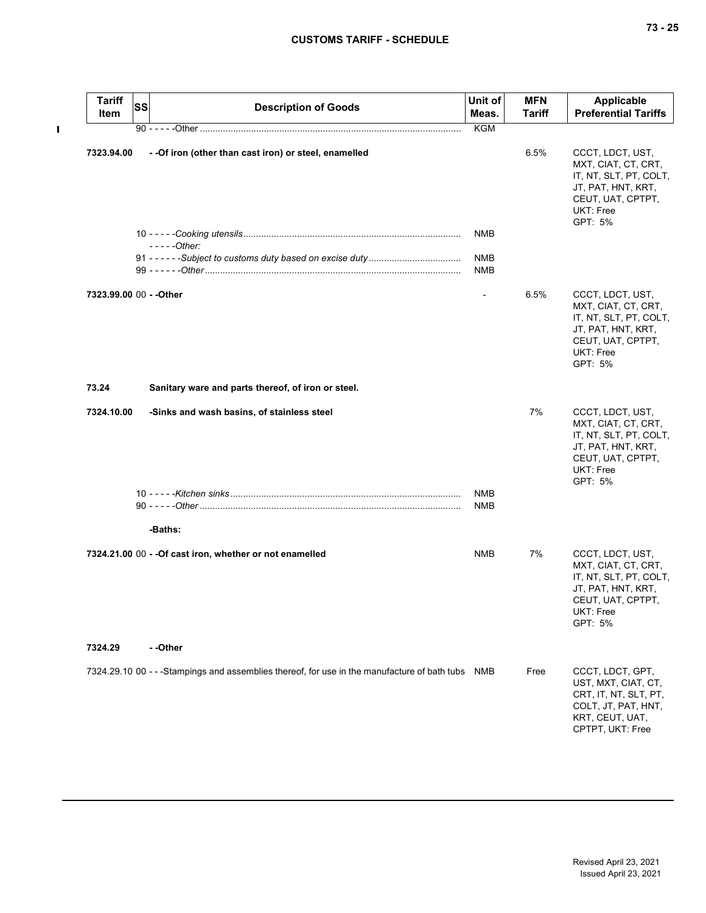$\mathbf{I}$ 

| <b>Tariff</b><br>Item   | <b>SS</b> | <b>Description of Goods</b>                                                                      | Unit of<br>Meas.         | <b>MFN</b><br><b>Tariff</b> | <b>Applicable</b><br><b>Preferential Tariffs</b>                                                                                     |
|-------------------------|-----------|--------------------------------------------------------------------------------------------------|--------------------------|-----------------------------|--------------------------------------------------------------------------------------------------------------------------------------|
|                         |           |                                                                                                  | <b>KGM</b>               |                             |                                                                                                                                      |
| 7323.94.00              |           | - - Of iron (other than cast iron) or steel, enamelled                                           |                          | 6.5%                        | CCCT, LDCT, UST,<br>MXT, CIAT, CT, CRT,<br>IT, NT, SLT, PT, COLT,<br>JT, PAT, HNT, KRT,<br>CEUT, UAT, CPTPT,<br>UKT: Free<br>GPT: 5% |
|                         |           | $---Other:$                                                                                      | <b>NMB</b>               |                             |                                                                                                                                      |
|                         |           |                                                                                                  | <b>NMB</b><br><b>NMB</b> |                             |                                                                                                                                      |
| 7323.99.00 00 - - Other |           |                                                                                                  | $\overline{\phantom{0}}$ | 6.5%                        | CCCT, LDCT, UST,<br>MXT, CIAT, CT, CRT,<br>IT, NT, SLT, PT, COLT,<br>JT, PAT, HNT, KRT,<br>CEUT, UAT, CPTPT,<br>UKT: Free<br>GPT: 5% |
| 73.24                   |           | Sanitary ware and parts thereof, of iron or steel.                                               |                          |                             |                                                                                                                                      |
| 7324.10.00              |           | -Sinks and wash basins, of stainless steel                                                       |                          | 7%                          | CCCT, LDCT, UST,<br>MXT, CIAT, CT, CRT,<br>IT, NT, SLT, PT, COLT,<br>JT, PAT, HNT, KRT,<br>CEUT, UAT, CPTPT,<br>UKT: Free<br>GPT: 5% |
|                         |           |                                                                                                  | NMB<br><b>NMB</b>        |                             |                                                                                                                                      |
|                         |           | -Baths:                                                                                          |                          |                             |                                                                                                                                      |
|                         |           | 7324.21.00 00 - - Of cast iron, whether or not enamelled                                         | NMB                      | 7%                          | CCCT, LDCT, UST,<br>MXT, CIAT, CT, CRT,<br>IT, NT, SLT, PT, COLT,<br>JT, PAT, HNT, KRT,<br>CEUT, UAT, CPTPT,<br>UKT: Free<br>GPT: 5% |
| 7324.29                 |           | --Other                                                                                          |                          |                             |                                                                                                                                      |
|                         |           | 7324.29.10 00 - - -Stampings and assemblies thereof, for use in the manufacture of bath tubs NMB |                          | Free                        | CCCT, LDCT, GPT,<br>UST, MXT, CIAT, CT,<br>CRT, IT, NT, SLT, PT,<br>COLT, JT, PAT, HNT,<br>KRT, CEUT, UAT,<br>CPTPT, UKT: Free       |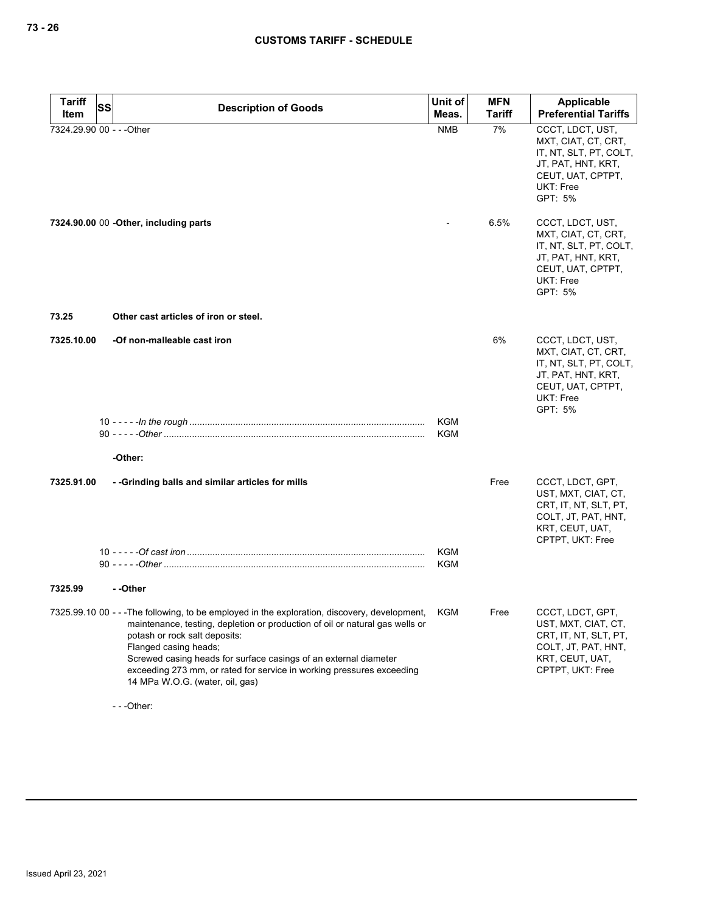| <b>Tariff</b> | <b>SS</b><br><b>Description of Goods</b>                                                                                                                                                                                                                                                                                                                                                                                   | Unit of    | <b>MFN</b>    | Applicable                                                                                                                                  |
|---------------|----------------------------------------------------------------------------------------------------------------------------------------------------------------------------------------------------------------------------------------------------------------------------------------------------------------------------------------------------------------------------------------------------------------------------|------------|---------------|---------------------------------------------------------------------------------------------------------------------------------------------|
| Item          |                                                                                                                                                                                                                                                                                                                                                                                                                            | Meas.      | <b>Tariff</b> | <b>Preferential Tariffs</b>                                                                                                                 |
|               | 7324.29.90 00 - - - Other                                                                                                                                                                                                                                                                                                                                                                                                  | <b>NMB</b> | 7%            | CCCT, LDCT, UST,<br>MXT, CIAT, CT, CRT,<br>IT, NT, SLT, PT, COLT,<br>JT, PAT, HNT, KRT,<br>CEUT, UAT, CPTPT,<br>UKT: Free<br>GPT: 5%        |
|               | 7324.90.00 00 - Other, including parts                                                                                                                                                                                                                                                                                                                                                                                     |            | 6.5%          | CCCT, LDCT, UST,<br>MXT, CIAT, CT, CRT,<br>IT, NT, SLT, PT, COLT,<br>JT, PAT, HNT, KRT,<br>CEUT, UAT, CPTPT,<br><b>UKT: Free</b><br>GPT: 5% |
| 73.25         | Other cast articles of iron or steel.                                                                                                                                                                                                                                                                                                                                                                                      |            |               |                                                                                                                                             |
| 7325.10.00    | -Of non-malleable cast iron                                                                                                                                                                                                                                                                                                                                                                                                |            | 6%            | CCCT, LDCT, UST,<br>MXT, CIAT, CT, CRT,<br>IT, NT, SLT, PT, COLT,<br>JT, PAT, HNT, KRT,<br>CEUT, UAT, CPTPT,<br><b>UKT: Free</b><br>GPT: 5% |
|               |                                                                                                                                                                                                                                                                                                                                                                                                                            | <b>KGM</b> |               |                                                                                                                                             |
|               |                                                                                                                                                                                                                                                                                                                                                                                                                            | <b>KGM</b> |               |                                                                                                                                             |
|               | -Other:                                                                                                                                                                                                                                                                                                                                                                                                                    |            |               |                                                                                                                                             |
| 7325.91.00    | --Grinding balls and similar articles for mills                                                                                                                                                                                                                                                                                                                                                                            |            | Free          | CCCT, LDCT, GPT,<br>UST, MXT, CIAT, CT,<br>CRT, IT, NT, SLT, PT,<br>COLT, JT, PAT, HNT,<br>KRT, CEUT, UAT,<br>CPTPT, UKT: Free              |
|               |                                                                                                                                                                                                                                                                                                                                                                                                                            | <b>KGM</b> |               |                                                                                                                                             |
|               |                                                                                                                                                                                                                                                                                                                                                                                                                            | <b>KGM</b> |               |                                                                                                                                             |
| 7325.99       | --Other                                                                                                                                                                                                                                                                                                                                                                                                                    |            |               |                                                                                                                                             |
|               | 7325.99.10 00 - - -The following, to be employed in the exploration, discovery, development, KGM<br>maintenance, testing, depletion or production of oil or natural gas wells or<br>potash or rock salt deposits:<br>Flanged casing heads;<br>Screwed casing heads for surface casings of an external diameter<br>exceeding 273 mm, or rated for service in working pressures exceeding<br>14 MPa W.O.G. (water, oil, gas) |            | Free          | CCCT, LDCT, GPT,<br>UST, MXT, CIAT, CT,<br>CRT, IT, NT, SLT, PT,<br>COLT, JT, PAT, HNT,<br>KRT, CEUT, UAT,<br>CPTPT, UKT: Free              |

- - -Other: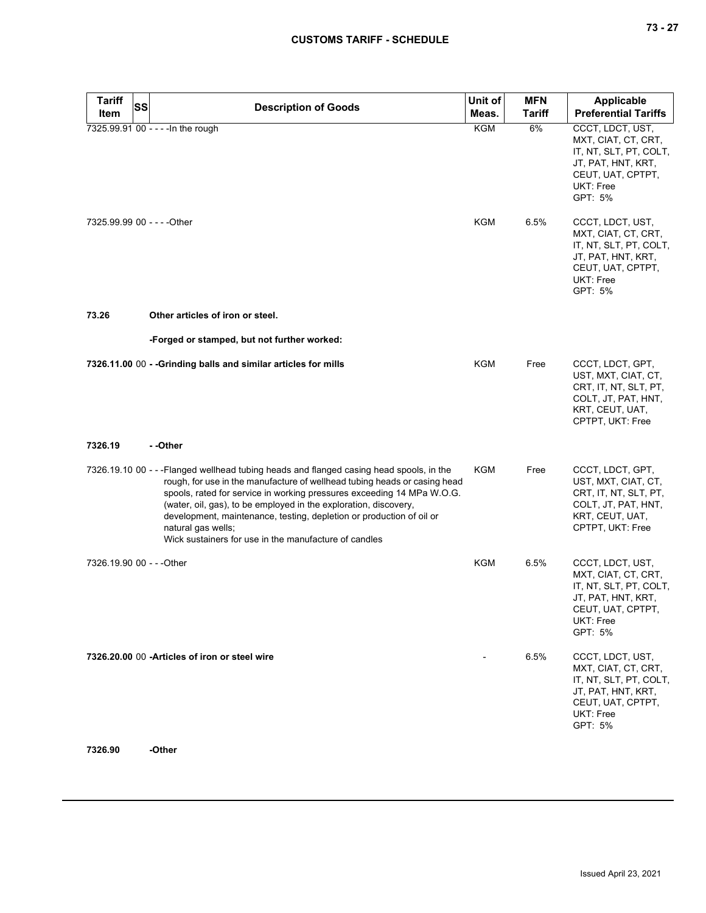| <b>Tariff</b><br>SS         | <b>Description of Goods</b>                                                                                                                                                                                                                                                                                                                                                                                                                                                | Unit of    | <b>MFN</b> | <b>Applicable</b>                                                                                                                    |
|-----------------------------|----------------------------------------------------------------------------------------------------------------------------------------------------------------------------------------------------------------------------------------------------------------------------------------------------------------------------------------------------------------------------------------------------------------------------------------------------------------------------|------------|------------|--------------------------------------------------------------------------------------------------------------------------------------|
| Item                        |                                                                                                                                                                                                                                                                                                                                                                                                                                                                            | Meas.      | Tariff     | <b>Preferential Tariffs</b>                                                                                                          |
|                             | 7325.99.91 00 - - - - In the rough                                                                                                                                                                                                                                                                                                                                                                                                                                         | <b>KGM</b> | 6%         | CCCT, LDCT, UST,<br>MXT, CIAT, CT, CRT,<br>IT, NT, SLT, PT, COLT,<br>JT, PAT, HNT, KRT,<br>CEUT, UAT, CPTPT,<br>UKT: Free<br>GPT: 5% |
| 7325.99.99 00 - - - - Other |                                                                                                                                                                                                                                                                                                                                                                                                                                                                            | KGM        | 6.5%       | CCCT, LDCT, UST,<br>MXT, CIAT, CT, CRT,<br>IT, NT, SLT, PT, COLT,<br>JT, PAT, HNT, KRT,<br>CEUT, UAT, CPTPT,<br>UKT: Free<br>GPT: 5% |
| 73.26                       | Other articles of iron or steel.                                                                                                                                                                                                                                                                                                                                                                                                                                           |            |            |                                                                                                                                      |
|                             | -Forged or stamped, but not further worked:                                                                                                                                                                                                                                                                                                                                                                                                                                |            |            |                                                                                                                                      |
|                             | 7326.11.00 00 - - Grinding balls and similar articles for mills                                                                                                                                                                                                                                                                                                                                                                                                            | <b>KGM</b> | Free       | CCCT, LDCT, GPT,<br>UST, MXT, CIAT, CT,<br>CRT, IT, NT, SLT, PT,<br>COLT, JT, PAT, HNT,<br>KRT, CEUT, UAT,<br>CPTPT, UKT: Free       |
| 7326.19                     | - -Other                                                                                                                                                                                                                                                                                                                                                                                                                                                                   |            |            |                                                                                                                                      |
|                             | 7326.19.10 00 - - - Flanged wellhead tubing heads and flanged casing head spools, in the<br>rough, for use in the manufacture of wellhead tubing heads or casing head<br>spools, rated for service in working pressures exceeding 14 MPa W.O.G.<br>(water, oil, gas), to be employed in the exploration, discovery,<br>development, maintenance, testing, depletion or production of oil or<br>natural gas wells;<br>Wick sustainers for use in the manufacture of candles | KGM        | Free       | CCCT, LDCT, GPT,<br>UST, MXT, CIAT, CT,<br>CRT, IT, NT, SLT, PT,<br>COLT, JT, PAT, HNT,<br>KRT, CEUT, UAT,<br>CPTPT, UKT: Free       |
| 7326.19.90 00 - - - Other   |                                                                                                                                                                                                                                                                                                                                                                                                                                                                            | <b>KGM</b> | 6.5%       | CCCT, LDCT, UST,<br>MXT, CIAT, CT, CRT,<br>IT, NT, SLT, PT, COLT,<br>JT, PAT, HNT, KRT,<br>CEUT, UAT, CPTPT,<br>UKT: Free<br>GPT: 5% |
|                             | 7326.20.00 00 - Articles of iron or steel wire                                                                                                                                                                                                                                                                                                                                                                                                                             |            | 6.5%       | CCCT, LDCT, UST,<br>MXT, CIAT, CT, CRT,<br>IT, NT, SLT, PT, COLT,<br>JT, PAT, HNT, KRT,<br>CEUT, UAT, CPTPT,<br>UKT: Free<br>GPT: 5% |

**7326.90 -Other**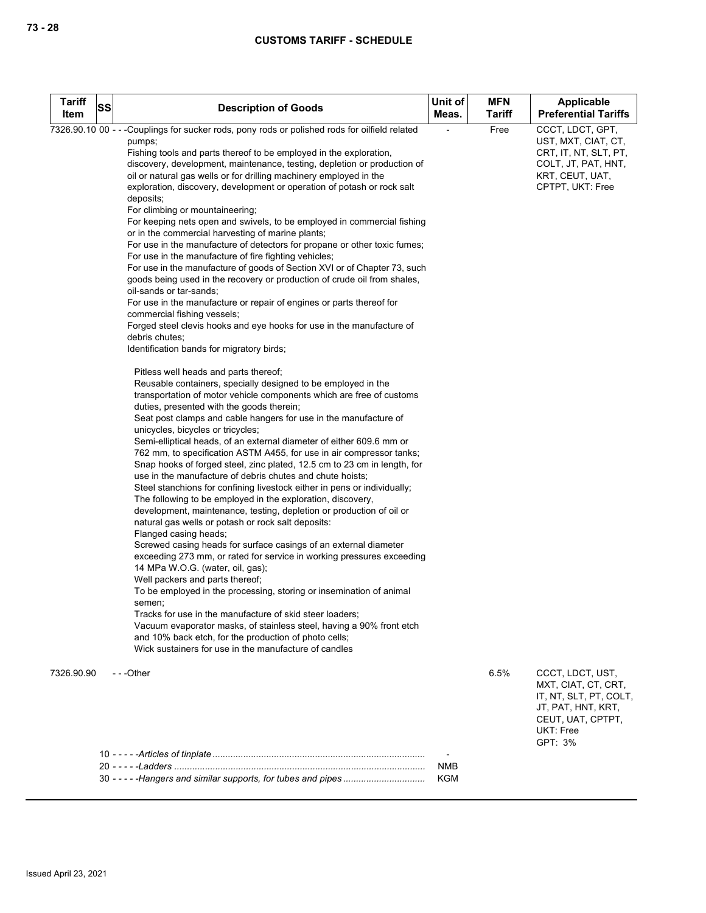| <b>Tariff</b><br>Item | SS | <b>Description of Goods</b>                                                                                                                                                                                                                                                                                                                                                                                                                                                                                                                                                                                                                                                                                                                                                                                                                                                                                                                                                                                                                                                                                                                                                                                                                                                                                                                                                                                                                                                                                                                                                                                                                                                                                                                                                                                                                                                                                                                                                                                                                                                                                                                                                                                                                                                                                                                                                                                                                                                                                                                                                                                                                                       | Unit of<br>Meas.         | <b>MFN</b><br><b>Tariff</b> | <b>Applicable</b><br><b>Preferential Tariffs</b>                                                                                     |
|-----------------------|----|-------------------------------------------------------------------------------------------------------------------------------------------------------------------------------------------------------------------------------------------------------------------------------------------------------------------------------------------------------------------------------------------------------------------------------------------------------------------------------------------------------------------------------------------------------------------------------------------------------------------------------------------------------------------------------------------------------------------------------------------------------------------------------------------------------------------------------------------------------------------------------------------------------------------------------------------------------------------------------------------------------------------------------------------------------------------------------------------------------------------------------------------------------------------------------------------------------------------------------------------------------------------------------------------------------------------------------------------------------------------------------------------------------------------------------------------------------------------------------------------------------------------------------------------------------------------------------------------------------------------------------------------------------------------------------------------------------------------------------------------------------------------------------------------------------------------------------------------------------------------------------------------------------------------------------------------------------------------------------------------------------------------------------------------------------------------------------------------------------------------------------------------------------------------------------------------------------------------------------------------------------------------------------------------------------------------------------------------------------------------------------------------------------------------------------------------------------------------------------------------------------------------------------------------------------------------------------------------------------------------------------------------------------------------|--------------------------|-----------------------------|--------------------------------------------------------------------------------------------------------------------------------------|
|                       |    | 7326.90.10 00 - - -Couplings for sucker rods, pony rods or polished rods for oilfield related<br>pumps;<br>Fishing tools and parts thereof to be employed in the exploration,<br>discovery, development, maintenance, testing, depletion or production of<br>oil or natural gas wells or for drilling machinery employed in the<br>exploration, discovery, development or operation of potash or rock salt<br>deposits;<br>For climbing or mountaineering;<br>For keeping nets open and swivels, to be employed in commercial fishing<br>or in the commercial harvesting of marine plants;<br>For use in the manufacture of detectors for propane or other toxic fumes;<br>For use in the manufacture of fire fighting vehicles;<br>For use in the manufacture of goods of Section XVI or of Chapter 73, such<br>goods being used in the recovery or production of crude oil from shales,<br>oil-sands or tar-sands;<br>For use in the manufacture or repair of engines or parts thereof for<br>commercial fishing vessels;<br>Forged steel clevis hooks and eye hooks for use in the manufacture of<br>debris chutes;<br>Identification bands for migratory birds;<br>Pitless well heads and parts thereof;<br>Reusable containers, specially designed to be employed in the<br>transportation of motor vehicle components which are free of customs<br>duties, presented with the goods therein;<br>Seat post clamps and cable hangers for use in the manufacture of<br>unicycles, bicycles or tricycles;<br>Semi-elliptical heads, of an external diameter of either 609.6 mm or<br>762 mm, to specification ASTM A455, for use in air compressor tanks;<br>Snap hooks of forged steel, zinc plated, 12.5 cm to 23 cm in length, for<br>use in the manufacture of debris chutes and chute hoists;<br>Steel stanchions for confining livestock either in pens or individually;<br>The following to be employed in the exploration, discovery,<br>development, maintenance, testing, depletion or production of oil or<br>natural gas wells or potash or rock salt deposits:<br>Flanged casing heads;<br>Screwed casing heads for surface casings of an external diameter<br>exceeding 273 mm, or rated for service in working pressures exceeding<br>14 MPa W.O.G. (water, oil, gas);<br>Well packers and parts thereof;<br>To be employed in the processing, storing or insemination of animal<br>semen;<br>Tracks for use in the manufacture of skid steer loaders;<br>Vacuum evaporator masks, of stainless steel, having a 90% front etch<br>and 10% back etch, for the production of photo cells;<br>Wick sustainers for use in the manufacture of candles |                          | Free                        | CCCT, LDCT, GPT,<br>UST, MXT, CIAT, CT,<br>CRT, IT, NT, SLT, PT,<br>COLT, JT, PAT, HNT,<br>KRT, CEUT, UAT,<br>CPTPT, UKT: Free       |
| 7326.90.90            |    | $- -$ Other                                                                                                                                                                                                                                                                                                                                                                                                                                                                                                                                                                                                                                                                                                                                                                                                                                                                                                                                                                                                                                                                                                                                                                                                                                                                                                                                                                                                                                                                                                                                                                                                                                                                                                                                                                                                                                                                                                                                                                                                                                                                                                                                                                                                                                                                                                                                                                                                                                                                                                                                                                                                                                                       |                          | 6.5%                        | CCCT, LDCT, UST,<br>MXT, CIAT, CT, CRT,<br>IT, NT, SLT, PT, COLT,<br>JT, PAT, HNT, KRT,<br>CEUT, UAT, CPTPT,<br>UKT: Free<br>GPT: 3% |
|                       |    |                                                                                                                                                                                                                                                                                                                                                                                                                                                                                                                                                                                                                                                                                                                                                                                                                                                                                                                                                                                                                                                                                                                                                                                                                                                                                                                                                                                                                                                                                                                                                                                                                                                                                                                                                                                                                                                                                                                                                                                                                                                                                                                                                                                                                                                                                                                                                                                                                                                                                                                                                                                                                                                                   |                          |                             |                                                                                                                                      |
|                       |    |                                                                                                                                                                                                                                                                                                                                                                                                                                                                                                                                                                                                                                                                                                                                                                                                                                                                                                                                                                                                                                                                                                                                                                                                                                                                                                                                                                                                                                                                                                                                                                                                                                                                                                                                                                                                                                                                                                                                                                                                                                                                                                                                                                                                                                                                                                                                                                                                                                                                                                                                                                                                                                                                   | <b>NMB</b><br><b>KGM</b> |                             |                                                                                                                                      |